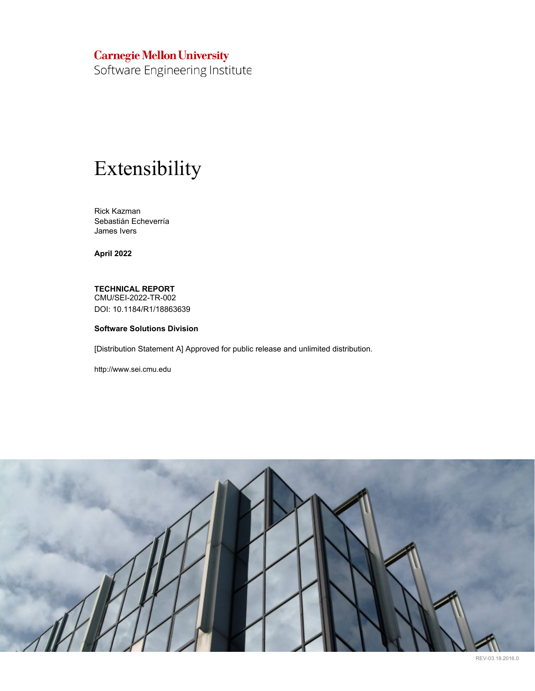# **Carnegie Mellon University**

Software Engineering Institute

# Extensibility

Rick Kazman Sebastián Echeverría James Ivers

**April 2022**

# **TECHNICAL REPORT**

CMU/SEI-2022-TR-002 DOI: 10.1184/R1/18863639

**Software Solutions Division**

[Distribution Statement A] Approved for public release and unlimited distribution.

http://www.sei.cmu.edu



REV-03.18.2016.0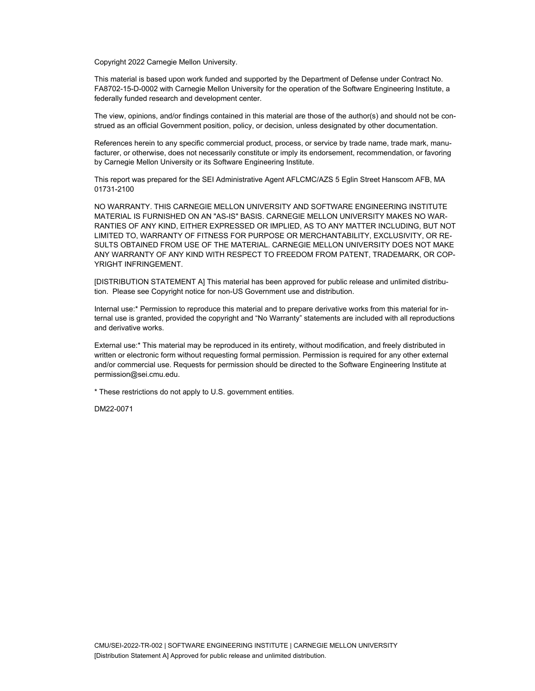Copyright 2022 Carnegie Mellon University.

This material is based upon work funded and supported by the Department of Defense under Contract No. FA8702-15-D-0002 with Carnegie Mellon University for the operation of the Software Engineering Institute, a federally funded research and development center.

The view, opinions, and/or findings contained in this material are those of the author(s) and should not be construed as an official Government position, policy, or decision, unless designated by other documentation.

References herein to any specific commercial product, process, or service by trade name, trade mark, manufacturer, or otherwise, does not necessarily constitute or imply its endorsement, recommendation, or favoring by Carnegie Mellon University or its Software Engineering Institute.

This report was prepared for the SEI Administrative Agent AFLCMC/AZS 5 Eglin Street Hanscom AFB, MA 01731-2100

NO WARRANTY. THIS CARNEGIE MELLON UNIVERSITY AND SOFTWARE ENGINEERING INSTITUTE MATERIAL IS FURNISHED ON AN "AS-IS" BASIS. CARNEGIE MELLON UNIVERSITY MAKES NO WAR-RANTIES OF ANY KIND, EITHER EXPRESSED OR IMPLIED, AS TO ANY MATTER INCLUDING, BUT NOT LIMITED TO, WARRANTY OF FITNESS FOR PURPOSE OR MERCHANTABILITY, EXCLUSIVITY, OR RE-SULTS OBTAINED FROM USE OF THE MATERIAL. CARNEGIE MELLON UNIVERSITY DOES NOT MAKE ANY WARRANTY OF ANY KIND WITH RESPECT TO FREEDOM FROM PATENT, TRADEMARK, OR COP-YRIGHT INFRINGEMENT.

[DISTRIBUTION STATEMENT A] This material has been approved for public release and unlimited distribution. Please see Copyright notice for non-US Government use and distribution.

Internal use:\* Permission to reproduce this material and to prepare derivative works from this material for internal use is granted, provided the copyright and "No Warranty" statements are included with all reproductions and derivative works.

External use:\* This material may be reproduced in its entirety, without modification, and freely distributed in written or electronic form without requesting formal permission. Permission is required for any other external and/or commercial use. Requests for permission should be directed to the Software Engineering Institute at permission@sei.cmu.edu.

\* These restrictions do not apply to U.S. government entities.

DM22-0071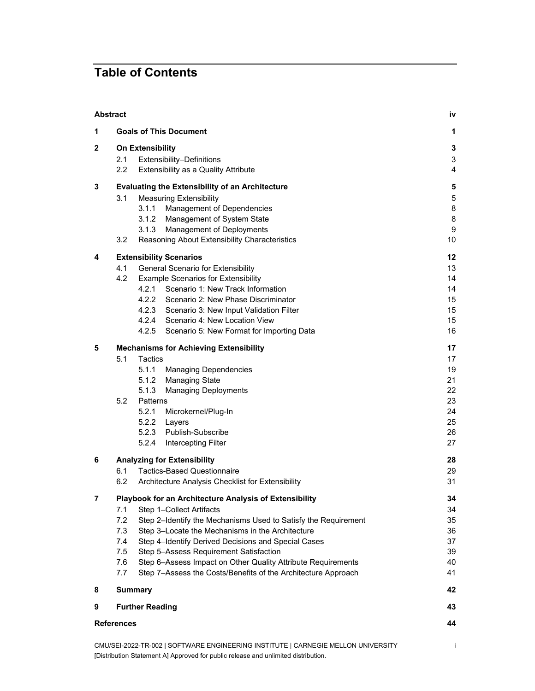# **Table of Contents**

| <b>Abstract</b> |                         |                                                                                            | iv               |  |  |
|-----------------|-------------------------|--------------------------------------------------------------------------------------------|------------------|--|--|
| 1               |                         | <b>Goals of This Document</b>                                                              | 1                |  |  |
| 2               | <b>On Extensibility</b> |                                                                                            |                  |  |  |
|                 | 2.1                     | Extensibility-Definitions                                                                  | 3                |  |  |
|                 | 2.2                     | Extensibility as a Quality Attribute                                                       | $\overline{4}$   |  |  |
| 3               |                         | <b>Evaluating the Extensibility of an Architecture</b>                                     | 5                |  |  |
|                 | 3.1                     | <b>Measuring Extensibility</b>                                                             | 5                |  |  |
|                 |                         | Management of Dependencies<br>3.1.1                                                        | 8                |  |  |
|                 |                         | 3.1.2 Management of System State                                                           | 8                |  |  |
|                 |                         | 3.1.3 Management of Deployments                                                            | $\boldsymbol{9}$ |  |  |
|                 | 3.2                     | Reasoning About Extensibility Characteristics                                              | 10               |  |  |
| 4               |                         | <b>Extensibility Scenarios</b>                                                             | 12               |  |  |
|                 | 4.1                     | General Scenario for Extensibility                                                         | 13               |  |  |
|                 | 4.2                     | <b>Example Scenarios for Extensibility</b>                                                 | 14               |  |  |
|                 |                         | Scenario 1: New Track Information<br>4.2.1                                                 | 14               |  |  |
|                 |                         | 4.2.2 Scenario 2: New Phase Discriminator<br>4.2.3 Scenario 3: New Input Validation Filter | 15<br>15         |  |  |
|                 |                         | 4.2.4 Scenario 4: New Location View                                                        | 15               |  |  |
|                 |                         | 4.2.5<br>Scenario 5: New Format for Importing Data                                         | 16               |  |  |
| 5               |                         | <b>Mechanisms for Achieving Extensibility</b>                                              | 17               |  |  |
|                 | 5.1                     | <b>Tactics</b>                                                                             | 17               |  |  |
|                 |                         | 5.1.1<br><b>Managing Dependencies</b>                                                      | 19               |  |  |
|                 |                         | 5.1.2<br><b>Managing State</b>                                                             | 21               |  |  |
|                 |                         | 5.1.3<br><b>Managing Deployments</b>                                                       | 22               |  |  |
|                 | 5.2                     | Patterns                                                                                   | 23               |  |  |
|                 |                         | 5.2.1<br>Microkernel/Plug-In<br>5.2.2 Layers                                               | 24<br>25         |  |  |
|                 |                         | 5.2.3 Publish-Subscribe                                                                    | 26               |  |  |
|                 |                         | 5.2.4<br>Intercepting Filter                                                               | 27               |  |  |
| 6               |                         | <b>Analyzing for Extensibility</b>                                                         | 28               |  |  |
|                 | 6.1                     | <b>Tactics-Based Questionnaire</b>                                                         | 29               |  |  |
|                 | 6.2                     | Architecture Analysis Checklist for Extensibility                                          | 31               |  |  |
| 7               |                         | Playbook for an Architecture Analysis of Extensibility                                     | 34               |  |  |
|                 | 7.1                     | Step 1-Collect Artifacts                                                                   | 34               |  |  |
|                 | 7.2                     | Step 2-Identify the Mechanisms Used to Satisfy the Requirement                             | 35               |  |  |
|                 | 7.3                     | Step 3-Locate the Mechanisms in the Architecture                                           | 36               |  |  |
|                 | 7.4                     | Step 4-Identify Derived Decisions and Special Cases                                        | 37               |  |  |
|                 | 7.5                     | Step 5-Assess Requirement Satisfaction                                                     | 39               |  |  |
|                 | 7.6                     | Step 6-Assess Impact on Other Quality Attribute Requirements                               | 40               |  |  |
|                 | 7.7                     | Step 7-Assess the Costs/Benefits of the Architecture Approach                              | 41               |  |  |
| 8               | <b>Summary</b>          |                                                                                            | 42               |  |  |
| 9               |                         | <b>Further Reading</b>                                                                     | 43               |  |  |
|                 | <b>References</b>       |                                                                                            | 44               |  |  |
|                 |                         | CMU/SEI-2022-TR-002   SOFTWARE ENGINEERING INSTITUTE   CARNEGIE MELLON UNIVERSITY          | Ĺ                |  |  |

[Distribution Statement A] Approved for public release and unlimited distribution.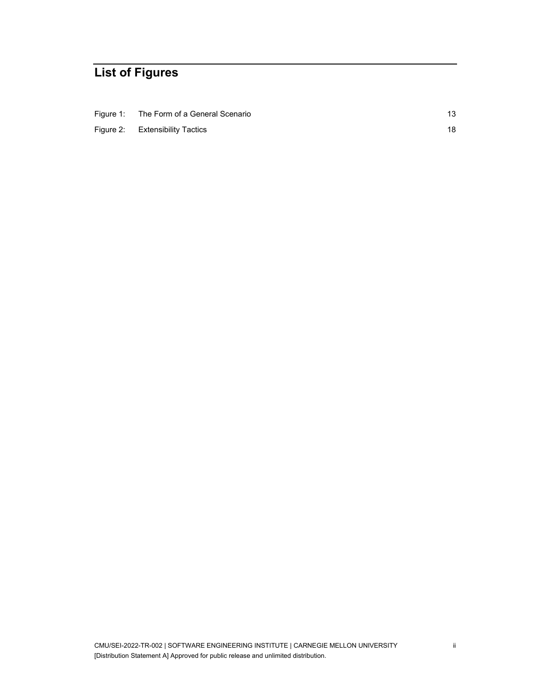# **List of Figures**

| Figure 1: The Form of a General Scenario | 13 |
|------------------------------------------|----|
| Figure 2: Extensibility Tactics          | 18 |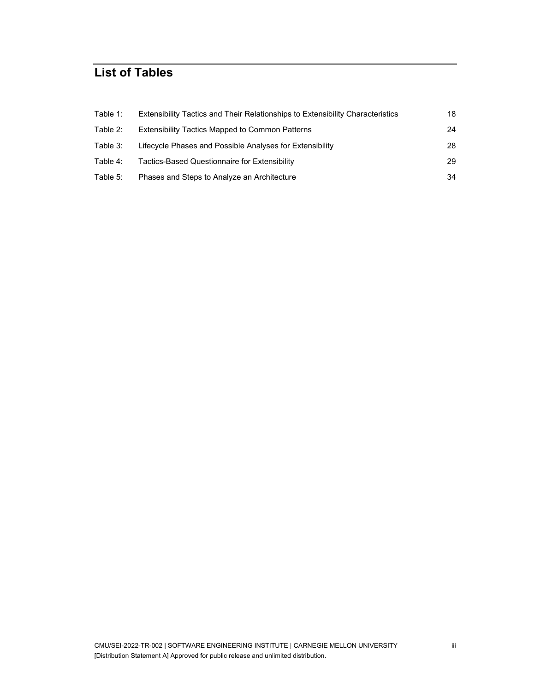# **List of Tables**

| Table 1:   | Extensibility Tactics and Their Relationships to Extensibility Characteristics | 18 |
|------------|--------------------------------------------------------------------------------|----|
| Table 2:   | <b>Extensibility Tactics Mapped to Common Patterns</b>                         | 24 |
| Table 3:   | Lifecycle Phases and Possible Analyses for Extensibility                       | 28 |
| Table $4:$ | Tactics-Based Questionnaire for Extensibility                                  | 29 |
| Table 5:   | Phases and Steps to Analyze an Architecture                                    | 34 |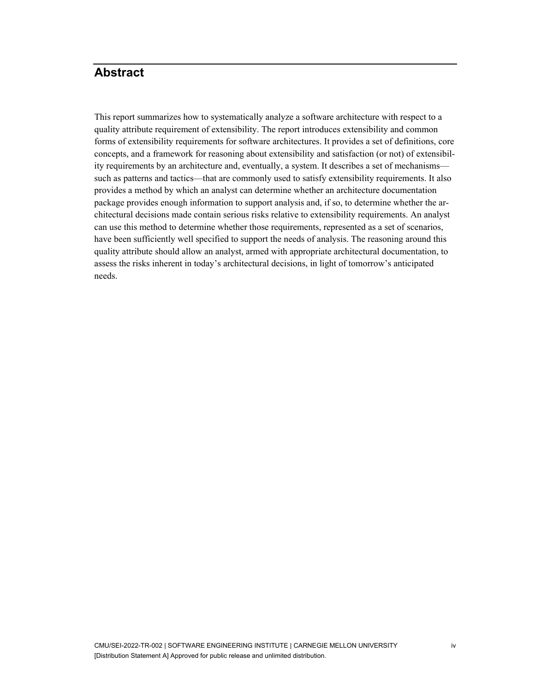# <span id="page-5-0"></span>**Abstract**

This report summarizes how to systematically analyze a software architecture with respect to a quality attribute requirement of extensibility. The report introduces extensibility and common forms of extensibility requirements for software architectures. It provides a set of definitions, core concepts, and a framework for reasoning about extensibility and satisfaction (or not) of extensibility requirements by an architecture and, eventually, a system. It describes a set of mechanisms such as patterns and tactics—that are commonly used to satisfy extensibility requirements. It also provides a method by which an analyst can determine whether an architecture documentation package provides enough information to support analysis and, if so, to determine whether the architectural decisions made contain serious risks relative to extensibility requirements. An analyst can use this method to determine whether those requirements, represented as a set of scenarios, have been sufficiently well specified to support the needs of analysis. The reasoning around this quality attribute should allow an analyst, armed with appropriate architectural documentation, to assess the risks inherent in today's architectural decisions, in light of tomorrow's anticipated needs.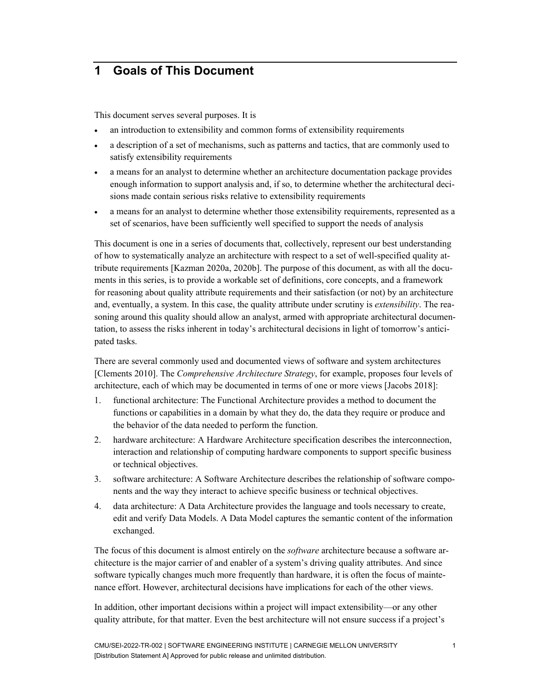# <span id="page-6-0"></span>**1 Goals of This Document**

This document serves several purposes. It is

- an introduction to extensibility and common forms of extensibility requirements
- a description of a set of mechanisms, such as patterns and tactics, that are commonly used to satisfy extensibility requirements
- a means for an analyst to determine whether an architecture documentation package provides enough information to support analysis and, if so, to determine whether the architectural decisions made contain serious risks relative to extensibility requirements
- a means for an analyst to determine whether those extensibility requirements, represented as a set of scenarios, have been sufficiently well specified to support the needs of analysis

This document is one in a series of documents that, collectively, represent our best understanding of how to systematically analyze an architecture with respect to a set of well-specified quality attribute requirements [Kazman 2020a, 2020b]. The purpose of this document, as with all the documents in this series, is to provide a workable set of definitions, core concepts, and a framework for reasoning about quality attribute requirements and their satisfaction (or not) by an architecture and, eventually, a system. In this case, the quality attribute under scrutiny is *extensibility*. The reasoning around this quality should allow an analyst, armed with appropriate architectural documentation, to assess the risks inherent in today's architectural decisions in light of tomorrow's anticipated tasks.

There are several commonly used and documented views of software and system architectures [Clements 2010]. The *Comprehensive Architecture Strategy*, for example, proposes four levels of architecture, each of which may be documented in terms of one or more views [Jacobs 2018]:

- 1. functional architecture: The Functional Architecture provides a method to document the functions or capabilities in a domain by what they do, the data they require or produce and the behavior of the data needed to perform the function.
- 2. hardware architecture: A Hardware Architecture specification describes the interconnection, interaction and relationship of computing hardware components to support specific business or technical objectives.
- 3. software architecture: A Software Architecture describes the relationship of software components and the way they interact to achieve specific business or technical objectives.
- 4. data architecture: A Data Architecture provides the language and tools necessary to create, edit and verify Data Models. A Data Model captures the semantic content of the information exchanged.

The focus of this document is almost entirely on the *software* architecture because a software architecture is the major carrier of and enabler of a system's driving quality attributes. And since software typically changes much more frequently than hardware, it is often the focus of maintenance effort. However, architectural decisions have implications for each of the other views.

In addition, other important decisions within a project will impact extensibility—or any other quality attribute, for that matter. Even the best architecture will not ensure success if a project's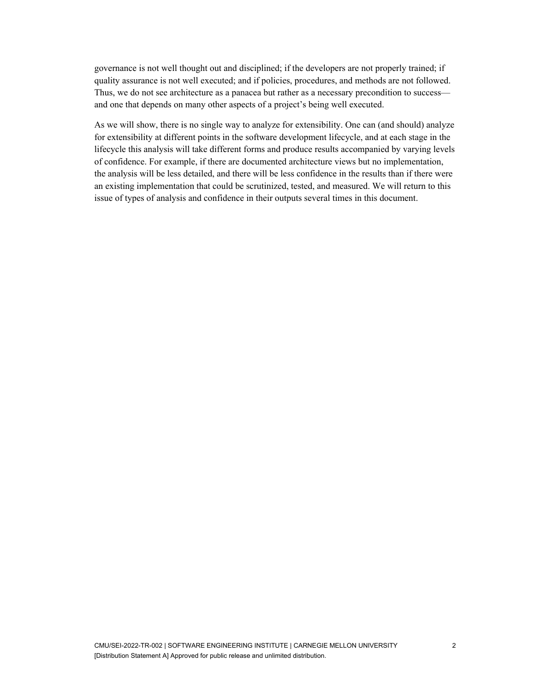governance is not well thought out and disciplined; if the developers are not properly trained; if quality assurance is not well executed; and if policies, procedures, and methods are not followed. Thus, we do not see architecture as a panacea but rather as a necessary precondition to success and one that depends on many other aspects of a project's being well executed.

As we will show, there is no single way to analyze for extensibility. One can (and should) analyze for extensibility at different points in the software development lifecycle, and at each stage in the lifecycle this analysis will take different forms and produce results accompanied by varying levels of confidence. For example, if there are documented architecture views but no implementation, the analysis will be less detailed, and there will be less confidence in the results than if there were an existing implementation that could be scrutinized, tested, and measured. We will return to this issue of types of analysis and confidence in their outputs several times in this document.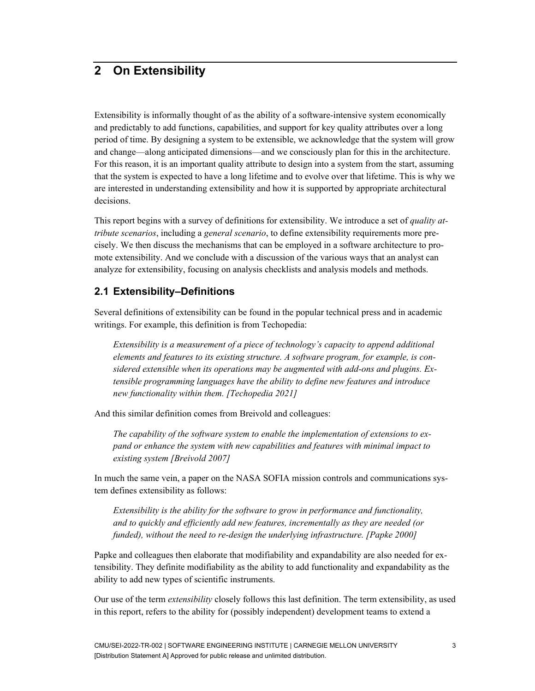# <span id="page-8-0"></span>**2 On Extensibility**

Extensibility is informally thought of as the ability of a software-intensive system economically and predictably to add functions, capabilities, and support for key quality attributes over a long period of time. By designing a system to be extensible, we acknowledge that the system will grow and change—along anticipated dimensions—and we consciously plan for this in the architecture. For this reason, it is an important quality attribute to design into a system from the start, assuming that the system is expected to have a long lifetime and to evolve over that lifetime. This is why we are interested in understanding extensibility and how it is supported by appropriate architectural decisions.

This report begins with a survey of definitions for extensibility. We introduce a set of *quality attribute scenarios*, including a *general scenario*, to define extensibility requirements more precisely. We then discuss the mechanisms that can be employed in a software architecture to promote extensibility. And we conclude with a discussion of the various ways that an analyst can analyze for extensibility, focusing on analysis checklists and analysis models and methods.

#### <span id="page-8-1"></span>**2.1 Extensibility–Definitions**

Several definitions of extensibility can be found in the popular technical press and in academic writings. For example, this definition is from Techopedia:

*Extensibility is a measurement of a piece of technology's capacity to append additional elements and features to its existing structure. A software program, for example, is considered extensible when its operations may be augmented with add-ons and plugins. Extensible programming languages have the ability to define new features and introduce new functionality within them. [Techopedia 2021]*

And this similar definition comes from Breivold and colleagues:

*The capability of the software system to enable the implementation of extensions to expand or enhance the system with new capabilities and features with minimal impact to existing system [Breivold 2007]*

In much the same vein, a paper on the NASA SOFIA mission controls and communications system defines extensibility as follows:

*Extensibility is the ability for the software to grow in performance and functionality, and to quickly and efficiently add new features, incrementally as they are needed (or funded), without the need to re-design the underlying infrastructure. [Papke 2000]*

Papke and colleagues then elaborate that modifiability and expandability are also needed for extensibility. They definite modifiability as the ability to add functionality and expandability as the ability to add new types of scientific instruments.

Our use of the term *extensibility* closely follows this last definition. The term extensibility, as used in this report, refers to the ability for (possibly independent) development teams to extend a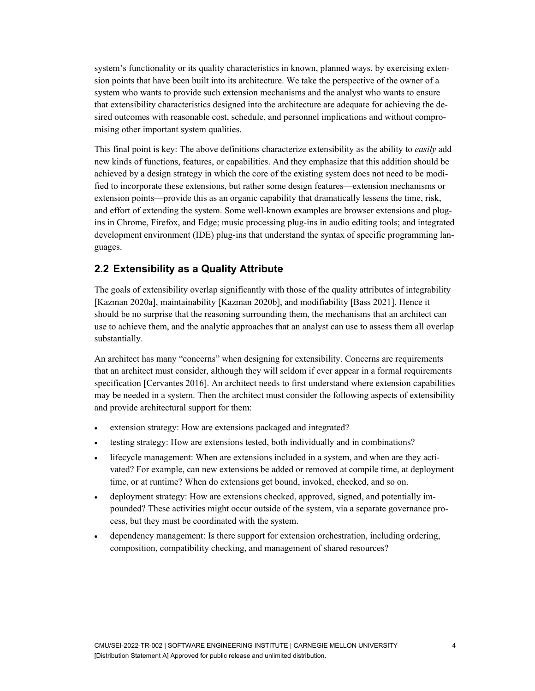system's functionality or its quality characteristics in known, planned ways, by exercising extension points that have been built into its architecture. We take the perspective of the owner of a system who wants to provide such extension mechanisms and the analyst who wants to ensure that extensibility characteristics designed into the architecture are adequate for achieving the desired outcomes with reasonable cost, schedule, and personnel implications and without compromising other important system qualities.

This final point is key: The above definitions characterize extensibility as the ability to *easily* add new kinds of functions, features, or capabilities. And they emphasize that this addition should be achieved by a design strategy in which the core of the existing system does not need to be modified to incorporate these extensions, but rather some design features—extension mechanisms or extension points—provide this as an organic capability that dramatically lessens the time, risk, and effort of extending the system. Some well-known examples are browser extensions and plugins in Chrome, Firefox, and Edge; music processing plug-ins in audio editing tools; and integrated development environment (IDE) plug-ins that understand the syntax of specific programming languages.

## <span id="page-9-0"></span>**2.2 Extensibility as a Quality Attribute**

The goals of extensibility overlap significantly with those of the quality attributes of integrability [Kazman 2020a], maintainability [Kazman 2020b], and modifiability [Bass 2021]. Hence it should be no surprise that the reasoning surrounding them, the mechanisms that an architect can use to achieve them, and the analytic approaches that an analyst can use to assess them all overlap substantially.

An architect has many "concerns" when designing for extensibility. Concerns are requirements that an architect must consider, although they will seldom if ever appear in a formal requirements specification [Cervantes 2016]. An architect needs to first understand where extension capabilities may be needed in a system. Then the architect must consider the following aspects of extensibility and provide architectural support for them:

- extension strategy: How are extensions packaged and integrated?
- testing strategy: How are extensions tested, both individually and in combinations?
- lifecycle management: When are extensions included in a system, and when are they activated? For example, can new extensions be added or removed at compile time, at deployment time, or at runtime? When do extensions get bound, invoked, checked, and so on.
- deployment strategy: How are extensions checked, approved, signed, and potentially impounded? These activities might occur outside of the system, via a separate governance process, but they must be coordinated with the system.
- dependency management: Is there support for extension orchestration, including ordering, composition, compatibility checking, and management of shared resources?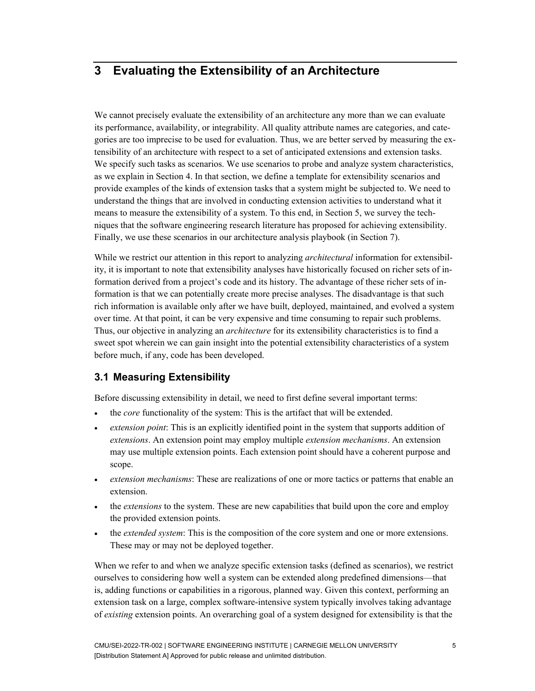# <span id="page-10-0"></span>**3 Evaluating the Extensibility of an Architecture**

We cannot precisely evaluate the extensibility of an architecture any more than we can evaluate its performance, availability, or integrability. All quality attribute names are categories, and categories are too imprecise to be used for evaluation. Thus, we are better served by measuring the extensibility of an architecture with respect to a set of anticipated extensions and extension tasks. We specify such tasks as scenarios. We use scenarios to probe and analyze system characteristics, as we explain in Section [4.](#page-17-0) In that section, we define a template for extensibility scenarios and provide examples of the kinds of extension tasks that a system might be subjected to. We need to understand the things that are involved in conducting extension activities to understand what it means to measure the extensibility of a system. To this end, in Section [5,](#page-22-0) we survey the techniques that the software engineering research literature has proposed for achieving extensibility. Finally, we use these scenarios in our architecture analysis playbook (in Section [7\)](#page-39-0).

While we restrict our attention in this report to analyzing *architectural* information for extensibility, it is important to note that extensibility analyses have historically focused on richer sets of information derived from a project's code and its history. The advantage of these richer sets of information is that we can potentially create more precise analyses. The disadvantage is that such rich information is available only after we have built, deployed, maintained, and evolved a system over time. At that point, it can be very expensive and time consuming to repair such problems. Thus, our objective in analyzing an *architecture* for its extensibility characteristics is to find a sweet spot wherein we can gain insight into the potential extensibility characteristics of a system before much, if any, code has been developed.

## <span id="page-10-1"></span>**3.1 Measuring Extensibility**

Before discussing extensibility in detail, we need to first define several important terms:

- the *core* functionality of the system: This is the artifact that will be extended.
- *extension point*: This is an explicitly identified point in the system that supports addition of *extensions*. An extension point may employ multiple *extension mechanisms*. An extension may use multiple extension points. Each extension point should have a coherent purpose and scope.
- *extension mechanisms*: These are realizations of one or more tactics or patterns that enable an extension.
- the *extensions* to the system. These are new capabilities that build upon the core and employ the provided extension points.
- the *extended system*: This is the composition of the core system and one or more extensions. These may or may not be deployed together.

When we refer to and when we analyze specific extension tasks (defined as scenarios), we restrict ourselves to considering how well a system can be extended along predefined dimensions—that is, adding functions or capabilities in a rigorous, planned way. Given this context, performing an extension task on a large, complex software-intensive system typically involves taking advantage of *existing* extension points. An overarching goal of a system designed for extensibility is that the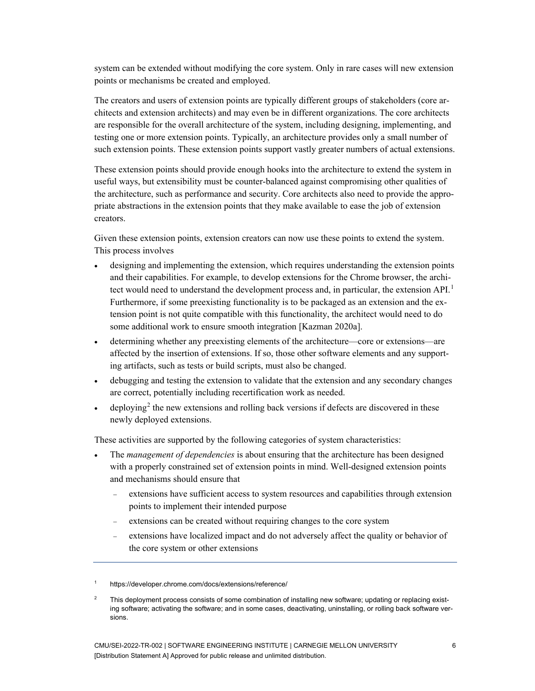system can be extended without modifying the core system. Only in rare cases will new extension points or mechanisms be created and employed.

The creators and users of extension points are typically different groups of stakeholders (core architects and extension architects) and may even be in different organizations. The core architects are responsible for the overall architecture of the system, including designing, implementing, and testing one or more extension points. Typically, an architecture provides only a small number of such extension points. These extension points support vastly greater numbers of actual extensions.

These extension points should provide enough hooks into the architecture to extend the system in useful ways, but extensibility must be counter-balanced against compromising other qualities of the architecture, such as performance and security. Core architects also need to provide the appropriate abstractions in the extension points that they make available to ease the job of extension creators.

Given these extension points, extension creators can now use these points to extend the system. This process involves

- designing and implementing the extension, which requires understanding the extension points and their capabilities. For example, to develop extensions for the Chrome browser, the archi-tect would need to understand the development process and, in particular, the extension API.<sup>[1](#page-11-0)</sup> Furthermore, if some preexisting functionality is to be packaged as an extension and the extension point is not quite compatible with this functionality, the architect would need to do some additional work to ensure smooth integration [Kazman 2020a].
- determining whether any preexisting elements of the architecture—core or extensions—are affected by the insertion of extensions. If so, those other software elements and any supporting artifacts, such as tests or build scripts, must also be changed.
- debugging and testing the extension to validate that the extension and any secondary changes are correct, potentially including recertification work as needed.
- deploying<sup>[2](#page-11-1)</sup> the new extensions and rolling back versions if defects are discovered in these newly deployed extensions.

These activities are supported by the following categories of system characteristics:

- The *management of dependencies* is about ensuring that the architecture has been designed with a properly constrained set of extension points in mind. Well-designed extension points and mechanisms should ensure that
	- − extensions have sufficient access to system resources and capabilities through extension points to implement their intended purpose
	- − extensions can be created without requiring changes to the core system
	- extensions have localized impact and do not adversely affect the quality or behavior of the core system or other extensions

<span id="page-11-0"></span><sup>1</sup> https://developer.chrome.com/docs/extensions/reference/

<span id="page-11-1"></span><sup>&</sup>lt;sup>2</sup> This deployment process consists of some combination of installing new software; updating or replacing existing software; activating the software; and in some cases, deactivating, uninstalling, or rolling back software versions.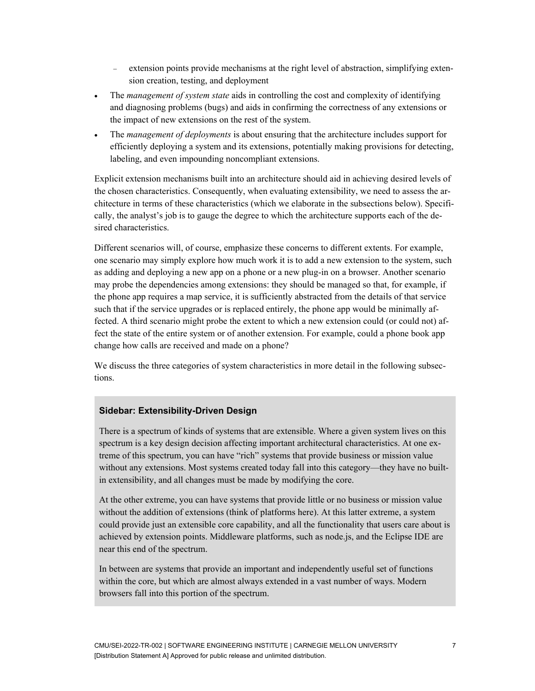- extension points provide mechanisms at the right level of abstraction, simplifying extension creation, testing, and deployment
- The *management of system state* aids in controlling the cost and complexity of identifying and diagnosing problems (bugs) and aids in confirming the correctness of any extensions or the impact of new extensions on the rest of the system.
- The *management of deployments* is about ensuring that the architecture includes support for efficiently deploying a system and its extensions, potentially making provisions for detecting, labeling, and even impounding noncompliant extensions.

Explicit extension mechanisms built into an architecture should aid in achieving desired levels of the chosen characteristics. Consequently, when evaluating extensibility, we need to assess the architecture in terms of these characteristics (which we elaborate in the subsections below). Specifically, the analyst's job is to gauge the degree to which the architecture supports each of the desired characteristics.

Different scenarios will, of course, emphasize these concerns to different extents. For example, one scenario may simply explore how much work it is to add a new extension to the system, such as adding and deploying a new app on a phone or a new plug-in on a browser. Another scenario may probe the dependencies among extensions: they should be managed so that, for example, if the phone app requires a map service, it is sufficiently abstracted from the details of that service such that if the service upgrades or is replaced entirely, the phone app would be minimally affected. A third scenario might probe the extent to which a new extension could (or could not) affect the state of the entire system or of another extension. For example, could a phone book app change how calls are received and made on a phone?

We discuss the three categories of system characteristics in more detail in the following subsections.

#### **Sidebar: Extensibility-Driven Design**

There is a spectrum of kinds of systems that are extensible. Where a given system lives on this spectrum is a key design decision affecting important architectural characteristics. At one extreme of this spectrum, you can have "rich" systems that provide business or mission value without any extensions. Most systems created today fall into this category—they have no builtin extensibility, and all changes must be made by modifying the core.

At the other extreme, you can have systems that provide little or no business or mission value without the addition of extensions (think of platforms here). At this latter extreme, a system could provide just an extensible core capability, and all the functionality that users care about is achieved by extension points. Middleware platforms, such as node.js, and the Eclipse IDE are near this end of the spectrum.

In between are systems that provide an important and independently useful set of functions within the core, but which are almost always extended in a vast number of ways. Modern browsers fall into this portion of the spectrum.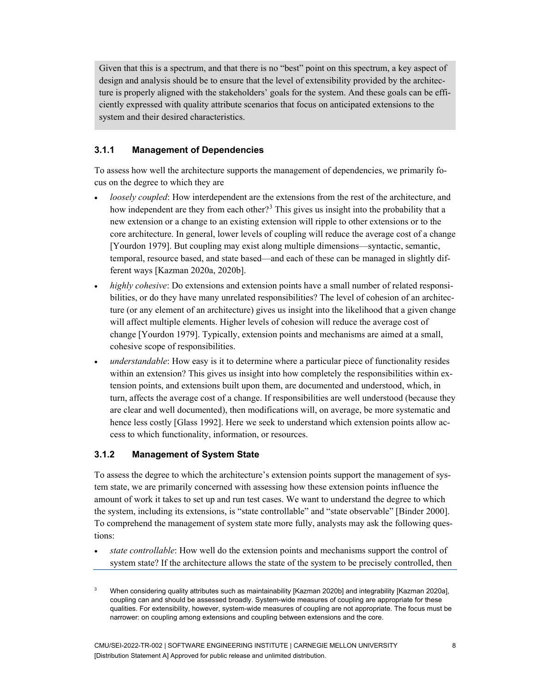Given that this is a spectrum, and that there is no "best" point on this spectrum, a key aspect of design and analysis should be to ensure that the level of extensibility provided by the architecture is properly aligned with the stakeholders' goals for the system. And these goals can be efficiently expressed with quality attribute scenarios that focus on anticipated extensions to the system and their desired characteristics.

#### <span id="page-13-0"></span>**3.1.1 Management of Dependencies**

To assess how well the architecture supports the management of dependencies, we primarily focus on the degree to which they are

- *loosely coupled*: How interdependent are the extensions from the rest of the architecture, and how independent are they from each other?<sup>[3](#page-13-2)</sup> This gives us insight into the probability that a new extension or a change to an existing extension will ripple to other extensions or to the core architecture. In general, lower levels of coupling will reduce the average cost of a change [Yourdon 1979]. But coupling may exist along multiple dimensions—syntactic, semantic, temporal, resource based, and state based—and each of these can be managed in slightly different ways [Kazman 2020a, 2020b].
- *highly cohesive*: Do extensions and extension points have a small number of related responsibilities, or do they have many unrelated responsibilities? The level of cohesion of an architecture (or any element of an architecture) gives us insight into the likelihood that a given change will affect multiple elements. Higher levels of cohesion will reduce the average cost of change [Yourdon 1979]. Typically, extension points and mechanisms are aimed at a small, cohesive scope of responsibilities.
- *understandable*: How easy is it to determine where a particular piece of functionality resides within an extension? This gives us insight into how completely the responsibilities within extension points, and extensions built upon them, are documented and understood, which, in turn, affects the average cost of a change. If responsibilities are well understood (because they are clear and well documented), then modifications will, on average, be more systematic and hence less costly [Glass 1992]. Here we seek to understand which extension points allow access to which functionality, information, or resources.

#### <span id="page-13-1"></span>**3.1.2 Management of System State**

To assess the degree to which the architecture's extension points support the management of system state, we are primarily concerned with assessing how these extension points influence the amount of work it takes to set up and run test cases. We want to understand the degree to which the system, including its extensions, is "state controllable" and "state observable" [Binder 2000]. To comprehend the management of system state more fully, analysts may ask the following questions:

• *state controllable*: How well do the extension points and mechanisms support the control of system state? If the architecture allows the state of the system to be precisely controlled, then

<span id="page-13-2"></span><sup>3</sup> When considering quality attributes such as maintainability [Kazman 2020b] and integrability [Kazman 2020a], coupling can and should be assessed broadly. System-wide measures of coupling are appropriate for these qualities. For extensibility, however, system-wide measures of coupling are not appropriate. The focus must be narrower: on coupling among extensions and coupling between extensions and the core.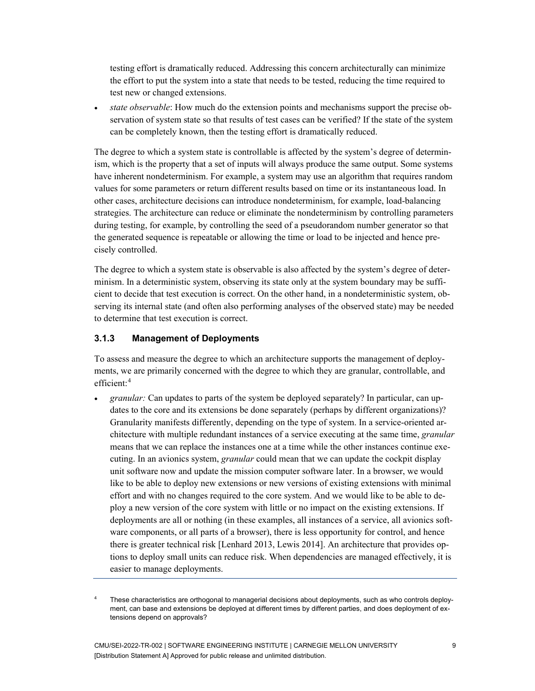testing effort is dramatically reduced. Addressing this concern architecturally can minimize the effort to put the system into a state that needs to be tested, reducing the time required to test new or changed extensions.

• *state observable*: How much do the extension points and mechanisms support the precise observation of system state so that results of test cases can be verified? If the state of the system can be completely known, then the testing effort is dramatically reduced.

The degree to which a system state is controllable is affected by the system's degree of determinism, which is the property that a set of inputs will always produce the same output. Some systems have inherent nondeterminism. For example, a system may use an algorithm that requires random values for some parameters or return different results based on time or its instantaneous load. In other cases, architecture decisions can introduce nondeterminism, for example, load-balancing strategies. The architecture can reduce or eliminate the nondeterminism by controlling parameters during testing, for example, by controlling the seed of a pseudorandom number generator so that the generated sequence is repeatable or allowing the time or load to be injected and hence precisely controlled.

The degree to which a system state is observable is also affected by the system's degree of determinism. In a deterministic system, observing its state only at the system boundary may be sufficient to decide that test execution is correct. On the other hand, in a nondeterministic system, observing its internal state (and often also performing analyses of the observed state) may be needed to determine that test execution is correct.

#### <span id="page-14-0"></span>**3.1.3 Management of Deployments**

To assess and measure the degree to which an architecture supports the management of deployments, we are primarily concerned with the degree to which they are granular, controllable, and efficient:[4](#page-14-1)

• *granular:* Can updates to parts of the system be deployed separately? In particular, can updates to the core and its extensions be done separately (perhaps by different organizations)? Granularity manifests differently, depending on the type of system. In a service-oriented architecture with multiple redundant instances of a service executing at the same time, *granular* means that we can replace the instances one at a time while the other instances continue executing. In an avionics system, *granular* could mean that we can update the cockpit display unit software now and update the mission computer software later. In a browser, we would like to be able to deploy new extensions or new versions of existing extensions with minimal effort and with no changes required to the core system. And we would like to be able to deploy a new version of the core system with little or no impact on the existing extensions. If deployments are all or nothing (in these examples, all instances of a service, all avionics software components, or all parts of a browser), there is less opportunity for control, and hence there is greater technical risk [Lenhard 2013, Lewis 2014]. An architecture that provides options to deploy small units can reduce risk. When dependencies are managed effectively, it is easier to manage deployments.

<span id="page-14-1"></span>These characteristics are orthogonal to managerial decisions about deployments, such as who controls deployment, can base and extensions be deployed at different times by different parties, and does deployment of extensions depend on approvals?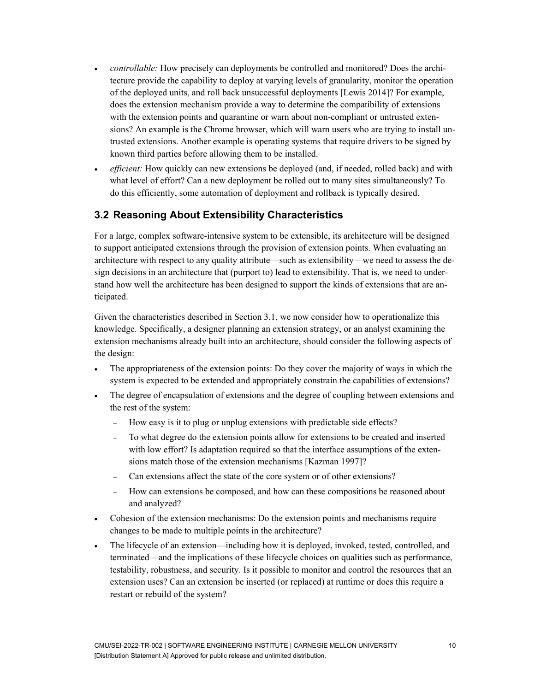- *controllable:* How precisely can deployments be controlled and monitored? Does the architecture provide the capability to deploy at varying levels of granularity, monitor the operation of the deployed units, and roll back unsuccessful deployments [Lewis 2014]? For example, does the extension mechanism provide a way to determine the compatibility of extensions with the extension points and quarantine or warn about non-compliant or untrusted extensions? An example is the Chrome browser, which will warn users who are trying to install untrusted extensions. Another example is operating systems that require drivers to be signed by known third parties before allowing them to be installed.
- *efficient:* How quickly can new extensions be deployed (and, if needed, rolled back) and with what level of effort? Can a new deployment be rolled out to many sites simultaneously? To do this efficiently, some automation of deployment and rollback is typically desired.

## <span id="page-15-0"></span>**3.2 Reasoning About Extensibility Characteristics**

For a large, complex software-intensive system to be extensible, its architecture will be designed to support anticipated extensions through the provision of extension points. When evaluating an architecture with respect to any quality attribute—such as extensibility—we need to assess the design decisions in an architecture that (purport to) lead to extensibility. That is, we need to understand how well the architecture has been designed to support the kinds of extensions that are anticipated.

Given the characteristics described in Section [3.1,](#page-10-1) we now consider how to operationalize this knowledge. Specifically, a designer planning an extension strategy, or an analyst examining the extension mechanisms already built into an architecture, should consider the following aspects of the design:

- The appropriateness of the extension points: Do they cover the majority of ways in which the system is expected to be extended and appropriately constrain the capabilities of extensions?
- The degree of encapsulation of extensions and the degree of coupling between extensions and the rest of the system:
	- How easy is it to plug or unplug extensions with predictable side effects?
	- To what degree do the extension points allow for extensions to be created and inserted with low effort? Is adaptation required so that the interface assumptions of the extensions match those of the extension mechanisms [Kazman 1997]?
	- Can extensions affect the state of the core system or of other extensions?
	- − How can extensions be composed, and how can these compositions be reasoned about and analyzed?
- Cohesion of the extension mechanisms: Do the extension points and mechanisms require changes to be made to multiple points in the architecture?
- The lifecycle of an extension—including how it is deployed, invoked, tested, controlled, and terminated—and the implications of these lifecycle choices on qualities such as performance, testability, robustness, and security. Is it possible to monitor and control the resources that an extension uses? Can an extension be inserted (or replaced) at runtime or does this require a restart or rebuild of the system?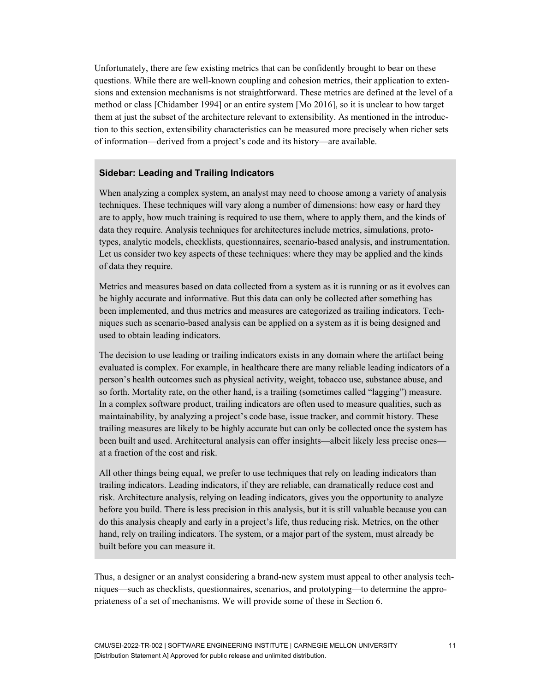Unfortunately, there are few existing metrics that can be confidently brought to bear on these questions. While there are well-known coupling and cohesion metrics, their application to extensions and extension mechanisms is not straightforward. These metrics are defined at the level of a method or class [Chidamber 1994] or an entire system [Mo 2016], so it is unclear to how target them at just the subset of the architecture relevant to extensibility. As mentioned in the introduction to this section, extensibility characteristics can be measured more precisely when richer sets of information—derived from a project's code and its history—are available.

#### **Sidebar: Leading and Trailing Indicators**

When analyzing a complex system, an analyst may need to choose among a variety of analysis techniques. These techniques will vary along a number of dimensions: how easy or hard they are to apply, how much training is required to use them, where to apply them, and the kinds of data they require. Analysis techniques for architectures include metrics, simulations, prototypes, analytic models, checklists, questionnaires, scenario-based analysis, and instrumentation. Let us consider two key aspects of these techniques: where they may be applied and the kinds of data they require.

Metrics and measures based on data collected from a system as it is running or as it evolves can be highly accurate and informative. But this data can only be collected after something has been implemented, and thus metrics and measures are categorized as trailing indicators. Techniques such as scenario-based analysis can be applied on a system as it is being designed and used to obtain leading indicators.

The decision to use leading or trailing indicators exists in any domain where the artifact being evaluated is complex. For example, in healthcare there are many reliable leading indicators of a person's health outcomes such as physical activity, weight, tobacco use, substance abuse, and so forth. Mortality rate, on the other hand, is a trailing (sometimes called "lagging") measure. In a complex software product, trailing indicators are often used to measure qualities, such as maintainability, by analyzing a project's code base, issue tracker, and commit history. These trailing measures are likely to be highly accurate but can only be collected once the system has been built and used. Architectural analysis can offer insights—albeit likely less precise ones at a fraction of the cost and risk.

All other things being equal, we prefer to use techniques that rely on leading indicators than trailing indicators. Leading indicators, if they are reliable, can dramatically reduce cost and risk. Architecture analysis, relying on leading indicators, gives you the opportunity to analyze before you build. There is less precision in this analysis, but it is still valuable because you can do this analysis cheaply and early in a project's life, thus reducing risk. Metrics, on the other hand, rely on trailing indicators. The system, or a major part of the system, must already be built before you can measure it.

Thus, a designer or an analyst considering a brand-new system must appeal to other analysis techniques—such as checklists, questionnaires, scenarios, and prototyping—to determine the appropriateness of a set of mechanisms. We will provide some of these in Section [6.](#page-33-0)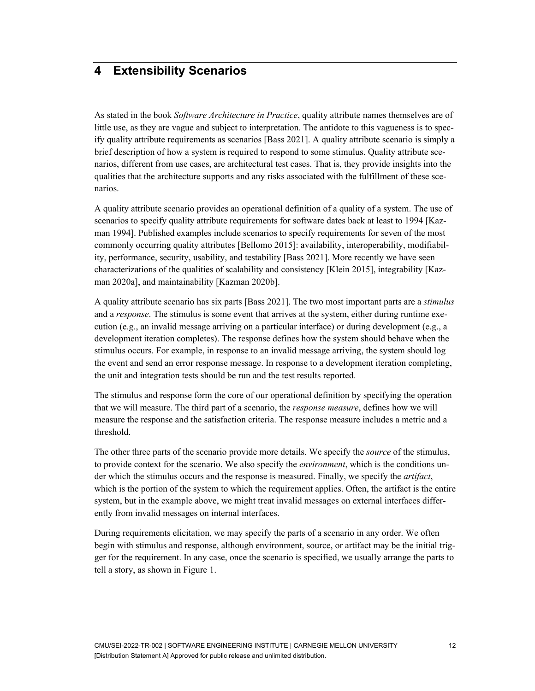# <span id="page-17-0"></span>**4 Extensibility Scenarios**

As stated in the book *Software Architecture in Practice*, quality attribute names themselves are of little use, as they are vague and subject to interpretation. The antidote to this vagueness is to specify quality attribute requirements as scenarios [Bass 2021]. A quality attribute scenario is simply a brief description of how a system is required to respond to some stimulus. Quality attribute scenarios, different from use cases, are architectural test cases. That is, they provide insights into the qualities that the architecture supports and any risks associated with the fulfillment of these scenarios.

A quality attribute scenario provides an operational definition of a quality of a system. The use of scenarios to specify quality attribute requirements for software dates back at least to 1994 [Kazman 1994]. Published examples include scenarios to specify requirements for seven of the most commonly occurring quality attributes [Bellomo 2015]: availability, interoperability, modifiability, performance, security, usability, and testability [Bass 2021]. More recently we have seen characterizations of the qualities of scalability and consistency [Klein 2015], integrability [Kazman 2020a], and maintainability [Kazman 2020b].

A quality attribute scenario has six parts [Bass 2021]. The two most important parts are a *stimulus* and a *response*. The stimulus is some event that arrives at the system, either during runtime execution (e.g., an invalid message arriving on a particular interface) or during development (e.g., a development iteration completes). The response defines how the system should behave when the stimulus occurs. For example, in response to an invalid message arriving, the system should log the event and send an error response message. In response to a development iteration completing, the unit and integration tests should be run and the test results reported.

The stimulus and response form the core of our operational definition by specifying the operation that we will measure. The third part of a scenario, the *response measure*, defines how we will measure the response and the satisfaction criteria. The response measure includes a metric and a threshold.

The other three parts of the scenario provide more details. We specify the *source* of the stimulus, to provide context for the scenario. We also specify the *environment*, which is the conditions under which the stimulus occurs and the response is measured. Finally, we specify the *artifact*, which is the portion of the system to which the requirement applies. Often, the artifact is the entire system, but in the example above, we might treat invalid messages on external interfaces differently from invalid messages on internal interfaces.

During requirements elicitation, we may specify the parts of a scenario in any order. We often begin with stimulus and response, although environment, source, or artifact may be the initial trigger for the requirement. In any case, once the scenario is specified, we usually arrange the parts to tell a story, as shown in [Figure 1.](#page-18-1)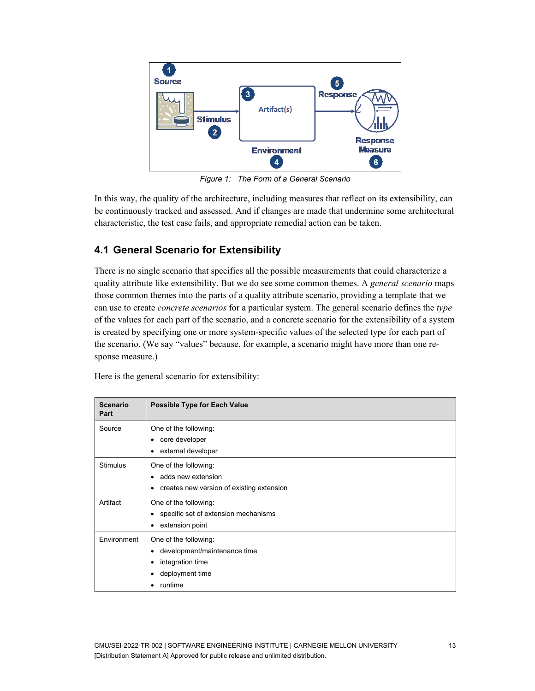

*Figure 1: The Form of a General Scenario*

<span id="page-18-1"></span>In this way, the quality of the architecture, including measures that reflect on its extensibility, can be continuously tracked and assessed. And if changes are made that undermine some architectural characteristic, the test case fails, and appropriate remedial action can be taken.

### <span id="page-18-0"></span>**4.1 General Scenario for Extensibility**

There is no single scenario that specifies all the possible measurements that could characterize a quality attribute like extensibility. But we do see some common themes. A *general scenario* maps those common themes into the parts of a quality attribute scenario, providing a template that we can use to create *concrete scenarios* for a particular system. The general scenario defines the *type* of the values for each part of the scenario, and a concrete scenario for the extensibility of a system is created by specifying one or more system-specific values of the selected type for each part of the scenario. (We say "values" because, for example, a scenario might have more than one response measure.)

Here is the general scenario for extensibility:

| <b>Scenario</b><br>Part | Possible Type for Each Value                   |  |  |  |
|-------------------------|------------------------------------------------|--|--|--|
| Source                  | One of the following:                          |  |  |  |
|                         | • core developer                               |  |  |  |
|                         | external developer<br>٠                        |  |  |  |
| Stimulus                | One of the following:                          |  |  |  |
|                         | • adds new extension                           |  |  |  |
|                         | creates new version of existing extension<br>٠ |  |  |  |
| Artifact                | One of the following:                          |  |  |  |
|                         | specific set of extension mechanisms<br>٠      |  |  |  |
|                         | extension point<br>٠                           |  |  |  |
| Environment             | One of the following:                          |  |  |  |
|                         | development/maintenance time<br>٠              |  |  |  |
|                         | integration time<br>٠                          |  |  |  |
|                         | deployment time                                |  |  |  |
|                         | runtime                                        |  |  |  |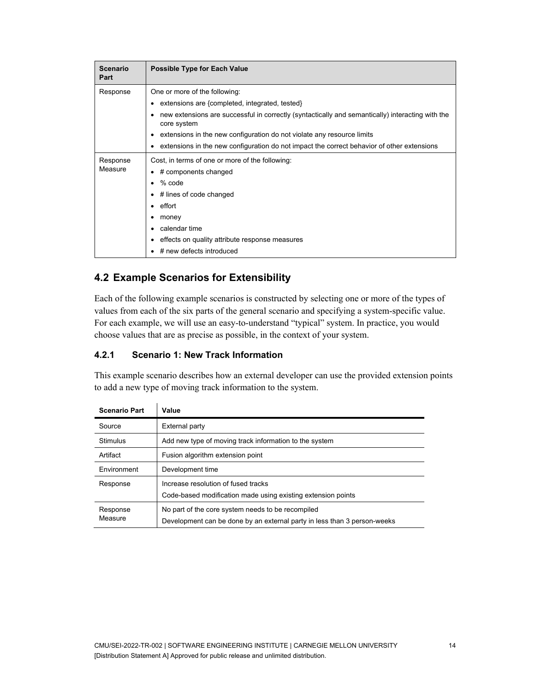| <b>Scenario</b><br>Part | <b>Possible Type for Each Value</b>                                                                             |
|-------------------------|-----------------------------------------------------------------------------------------------------------------|
| Response                | One or more of the following:                                                                                   |
|                         | extensions are {completed, integrated, tested}                                                                  |
|                         | new extensions are successful in correctly (syntactically and semantically) interacting with the<br>core system |
|                         | extensions in the new configuration do not violate any resource limits                                          |
|                         | extensions in the new configuration do not impact the correct behavior of other extensions                      |
| Response                | Cost, in terms of one or more of the following:                                                                 |
| Measure                 | # components changed                                                                                            |
|                         | $% \text{code}$                                                                                                 |
|                         | $\bullet$ # lines of code changed                                                                               |
|                         | $\bullet$ effort                                                                                                |
|                         | money                                                                                                           |
|                         | calendar time                                                                                                   |
|                         | effects on quality attribute response measures                                                                  |
|                         | # new defects introduced                                                                                        |

# <span id="page-19-0"></span>**4.2 Example Scenarios for Extensibility**

Each of the following example scenarios is constructed by selecting one or more of the types of values from each of the six parts of the general scenario and specifying a system-specific value. For each example, we will use an easy-to-understand "typical" system. In practice, you would choose values that are as precise as possible, in the context of your system.

#### <span id="page-19-1"></span>**4.2.1 Scenario 1: New Track Information**

This example scenario describes how an external developer can use the provided extension points to add a new type of moving track information to the system.

| <b>Scenario Part</b> | Value                                                                                                                         |
|----------------------|-------------------------------------------------------------------------------------------------------------------------------|
| Source               | External party                                                                                                                |
| Stimulus             | Add new type of moving track information to the system                                                                        |
| Artifact             | Fusion algorithm extension point                                                                                              |
| Environment          | Development time                                                                                                              |
| Response             | Increase resolution of fused tracks<br>Code-based modification made using existing extension points                           |
| Response<br>Measure  | No part of the core system needs to be recompiled<br>Development can be done by an external party in less than 3 person-weeks |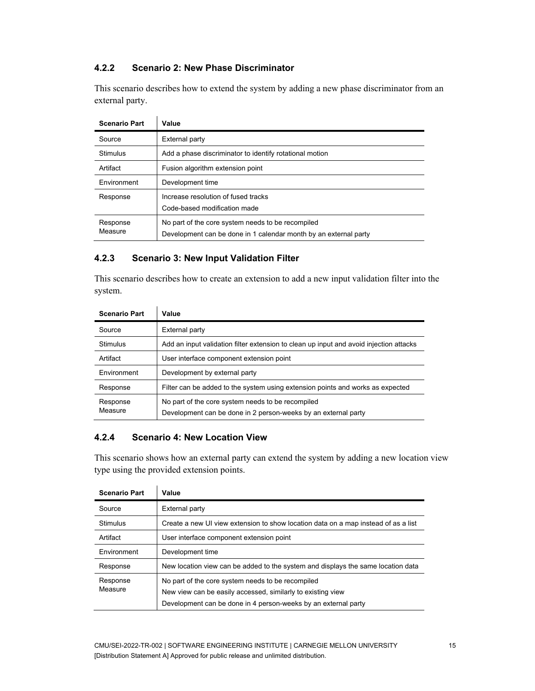#### <span id="page-20-0"></span>**4.2.2 Scenario 2: New Phase Discriminator**

This scenario describes how to extend the system by adding a new phase discriminator from an external party.

| <b>Scenario Part</b> | Value                                                                                                                 |  |  |
|----------------------|-----------------------------------------------------------------------------------------------------------------------|--|--|
| Source               | External party                                                                                                        |  |  |
| Stimulus             | Add a phase discriminator to identify rotational motion                                                               |  |  |
| Artifact             | Fusion algorithm extension point                                                                                      |  |  |
| Environment          | Development time                                                                                                      |  |  |
| Response             | Increase resolution of fused tracks<br>Code-based modification made                                                   |  |  |
| Response<br>Measure  | No part of the core system needs to be recompiled<br>Development can be done in 1 calendar month by an external party |  |  |

#### <span id="page-20-1"></span>**4.2.3 Scenario 3: New Input Validation Filter**

l,

This scenario describes how to create an extension to add a new input validation filter into the system.

| <b>Scenario Part</b> | Value                                                                                                               |
|----------------------|---------------------------------------------------------------------------------------------------------------------|
| Source               | External party                                                                                                      |
| Stimulus             | Add an input validation filter extension to clean up input and avoid injection attacks                              |
| Artifact             | User interface component extension point                                                                            |
| Environment          | Development by external party                                                                                       |
| Response             | Filter can be added to the system using extension points and works as expected                                      |
| Response<br>Measure  | No part of the core system needs to be recompiled<br>Development can be done in 2 person-weeks by an external party |

#### <span id="page-20-2"></span>**4.2.4 Scenario 4: New Location View**

This scenario shows how an external party can extend the system by adding a new location view type using the provided extension points.

| <b>Scenario Part</b> | Value                                                                                                                                                                              |
|----------------------|------------------------------------------------------------------------------------------------------------------------------------------------------------------------------------|
| Source               | External party                                                                                                                                                                     |
| Stimulus             | Create a new UI view extension to show location data on a map instead of as a list                                                                                                 |
| Artifact             | User interface component extension point                                                                                                                                           |
| Environment          | Development time                                                                                                                                                                   |
| Response             | New location view can be added to the system and displays the same location data                                                                                                   |
| Response<br>Measure  | No part of the core system needs to be recompiled<br>New view can be easily accessed, similarly to existing view<br>Development can be done in 4 person-weeks by an external party |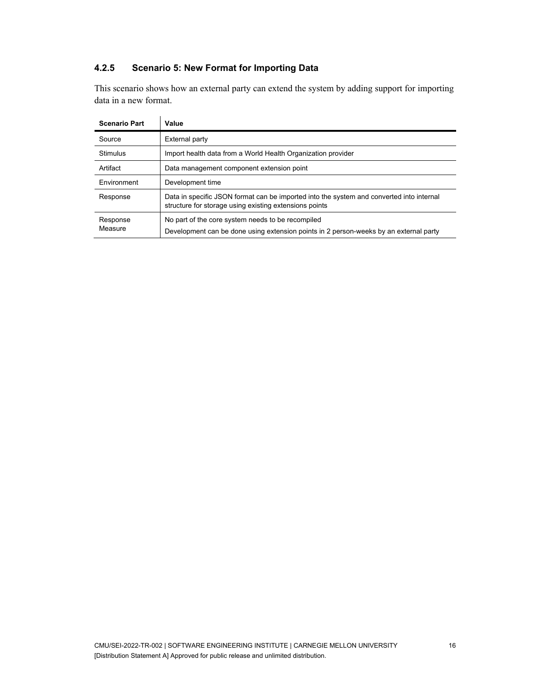### <span id="page-21-0"></span>**4.2.5 Scenario 5: New Format for Importing Data**

This scenario shows how an external party can extend the system by adding support for importing data in a new format.

| <b>Scenario Part</b> | Value                                                                                                                                              |
|----------------------|----------------------------------------------------------------------------------------------------------------------------------------------------|
| Source               | External party                                                                                                                                     |
| <b>Stimulus</b>      | Import health data from a World Health Organization provider                                                                                       |
| Artifact             | Data management component extension point                                                                                                          |
| Environment          | Development time                                                                                                                                   |
| Response             | Data in specific JSON format can be imported into the system and converted into internal<br>structure for storage using existing extensions points |
| Response<br>Measure  | No part of the core system needs to be recompiled<br>Development can be done using extension points in 2 person-weeks by an external party         |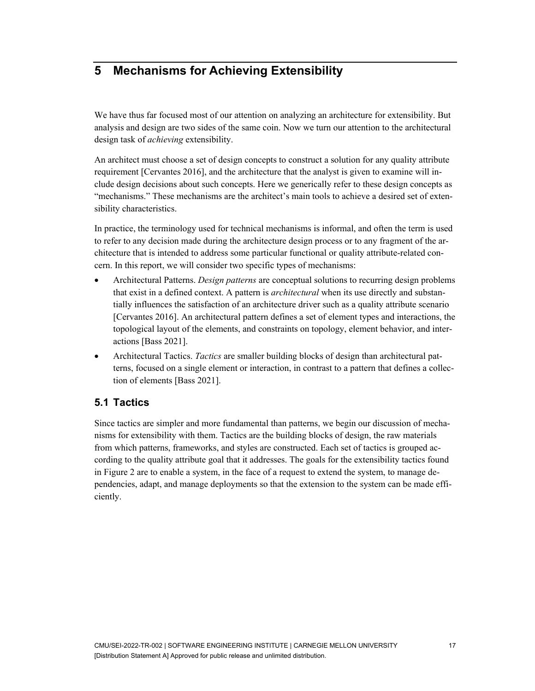# <span id="page-22-0"></span>**5 Mechanisms for Achieving Extensibility**

We have thus far focused most of our attention on analyzing an architecture for extensibility. But analysis and design are two sides of the same coin. Now we turn our attention to the architectural design task of *achieving* extensibility.

An architect must choose a set of design concepts to construct a solution for any quality attribute requirement [Cervantes 2016], and the architecture that the analyst is given to examine will include design decisions about such concepts. Here we generically refer to these design concepts as "mechanisms." These mechanisms are the architect's main tools to achieve a desired set of extensibility characteristics.

In practice, the terminology used for technical mechanisms is informal, and often the term is used to refer to any decision made during the architecture design process or to any fragment of the architecture that is intended to address some particular functional or quality attribute-related concern. In this report, we will consider two specific types of mechanisms:

- Architectural Patterns. *Design patterns* are conceptual solutions to recurring design problems that exist in a defined context. A pattern is *architectural* when its use directly and substantially influences the satisfaction of an architecture driver such as a quality attribute scenario [Cervantes 2016]. An architectural pattern defines a set of element types and interactions, the topological layout of the elements, and constraints on topology, element behavior, and interactions [Bass 2021].
- Architectural Tactics. *Tactics* are smaller building blocks of design than architectural patterns, focused on a single element or interaction, in contrast to a pattern that defines a collection of elements [Bass 2021].

## <span id="page-22-1"></span>**5.1 Tactics**

Since tactics are simpler and more fundamental than patterns, we begin our discussion of mechanisms for extensibility with them. Tactics are the building blocks of design, the raw materials from which patterns, frameworks, and styles are constructed. Each set of tactics is grouped according to the quality attribute goal that it addresses. The goals for the extensibility tactics found in [Figure 2](#page-23-0) are to enable a system, in the face of a request to extend the system, to manage dependencies, adapt, and manage deployments so that the extension to the system can be made efficiently.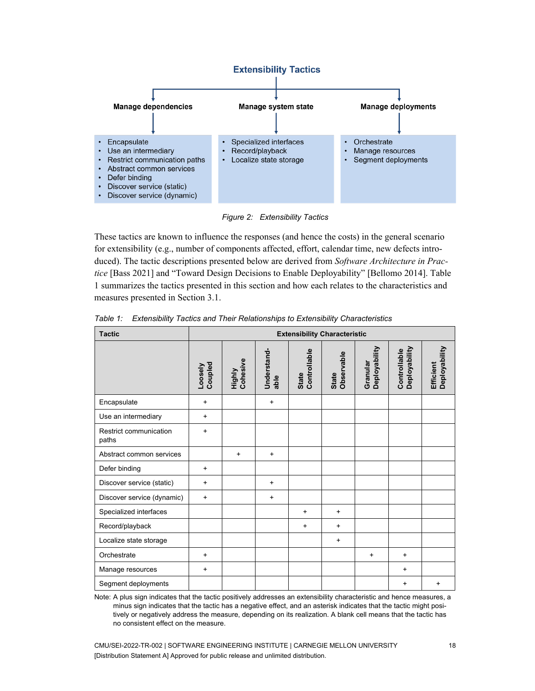

*Figure 2: Extensibility Tactics*

<span id="page-23-0"></span>These tactics are known to influence the responses (and hence the costs) in the general scenario for extensibility (e.g., number of components affected, effort, calendar time, new defects introduced). The tactic descriptions presented below are derived from *Software Architecture in Practice* [Bass 2021] and "Toward Design Decisions to Enable Deployability" [Bellomo 2014]. [Table](#page-23-1)  [1](#page-23-1) summarizes the tactics presented in this section and how each relates to the characteristics and measures presented in Section [3.1.](#page-10-1)

| <b>Tactic</b>                   | <b>Extensibility Characteristic</b> |                    |                     |                              |                            |                           |                               |                            |
|---------------------------------|-------------------------------------|--------------------|---------------------|------------------------------|----------------------------|---------------------------|-------------------------------|----------------------------|
|                                 | Coupled<br>Loosely                  | Highly<br>Cohesive | Understand-<br>able | Controllable<br><b>State</b> | Observable<br><b>State</b> | Deployability<br>Granular | Deployability<br>Controllable | Deployability<br>Efficient |
| Encapsulate                     | +                                   |                    | $\ddot{}$           |                              |                            |                           |                               |                            |
| Use an intermediary             | +                                   |                    |                     |                              |                            |                           |                               |                            |
| Restrict communication<br>paths | +                                   |                    |                     |                              |                            |                           |                               |                            |
| Abstract common services        |                                     | $\ddot{}$          | $\ddot{}$           |                              |                            |                           |                               |                            |
| Defer binding                   | $\ddot{}$                           |                    |                     |                              |                            |                           |                               |                            |
| Discover service (static)       | $\ddot{}$                           |                    | $\ddot{}$           |                              |                            |                           |                               |                            |
| Discover service (dynamic)      | $\ddot{}$                           |                    | $\ddot{}$           |                              |                            |                           |                               |                            |
| Specialized interfaces          |                                     |                    |                     | $\ddot{}$                    | $\ddot{}$                  |                           |                               |                            |
| Record/playback                 |                                     |                    |                     | $\ddot{}$                    | $\ddot{}$                  |                           |                               |                            |
| Localize state storage          |                                     |                    |                     |                              | $\ddot{}$                  |                           |                               |                            |
| Orchestrate                     | $\ddot{}$                           |                    |                     |                              |                            | $\ddot{}$                 | $\ddot{}$                     |                            |
| Manage resources                | $\ddot{}$                           |                    |                     |                              |                            |                           | $\ddot{}$                     |                            |
| Segment deployments             |                                     |                    |                     |                              |                            |                           | $\ddot{}$                     | $\ddot{}$                  |

<span id="page-23-1"></span>*Table 1: Extensibility Tactics and Their Relationships to Extensibility Characteristics*

Note: A plus sign indicates that the tactic positively addresses an extensibility characteristic and hence measures, a minus sign indicates that the tactic has a negative effect, and an asterisk indicates that the tactic might positively or negatively address the measure, depending on its realization. A blank cell means that the tactic has no consistent effect on the measure.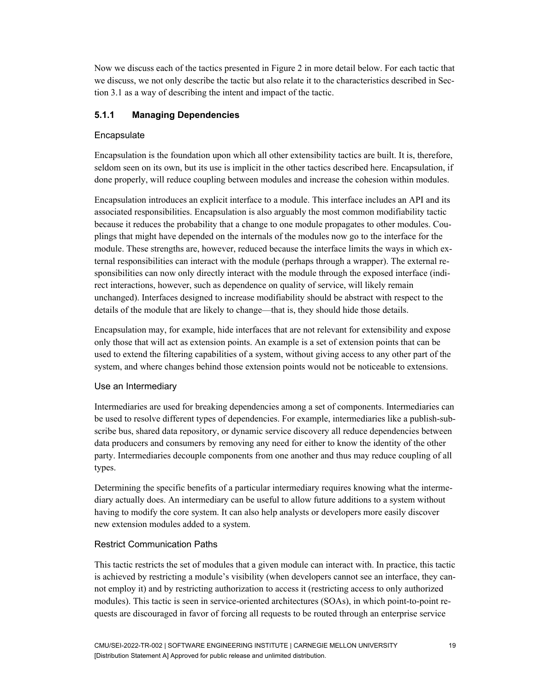Now we discuss each of the tactics presented i[n Figure 2](#page-23-0) in more detail below. For each tactic that we discuss, we not only describe the tactic but also relate it to the characteristics described in Section [3.1](#page-10-1) as a way of describing the intent and impact of the tactic.

#### <span id="page-24-0"></span>**5.1.1 Managing Dependencies**

#### **Encapsulate**

Encapsulation is the foundation upon which all other extensibility tactics are built. It is, therefore, seldom seen on its own, but its use is implicit in the other tactics described here. Encapsulation, if done properly, will reduce coupling between modules and increase the cohesion within modules.

Encapsulation introduces an explicit interface to a module. This interface includes an API and its associated responsibilities. Encapsulation is also arguably the most common modifiability tactic because it reduces the probability that a change to one module propagates to other modules. Couplings that might have depended on the internals of the modules now go to the interface for the module. These strengths are, however, reduced because the interface limits the ways in which external responsibilities can interact with the module (perhaps through a wrapper). The external responsibilities can now only directly interact with the module through the exposed interface (indirect interactions, however, such as dependence on quality of service, will likely remain unchanged). Interfaces designed to increase modifiability should be abstract with respect to the details of the module that are likely to change—that is, they should hide those details.

Encapsulation may, for example, hide interfaces that are not relevant for extensibility and expose only those that will act as extension points. An example is a set of extension points that can be used to extend the filtering capabilities of a system, without giving access to any other part of the system, and where changes behind those extension points would not be noticeable to extensions.

#### Use an Intermediary

Intermediaries are used for breaking dependencies among a set of components. Intermediaries can be used to resolve different types of dependencies. For example, intermediaries like a publish-subscribe bus, shared data repository, or dynamic service discovery all reduce dependencies between data producers and consumers by removing any need for either to know the identity of the other party. Intermediaries decouple components from one another and thus may reduce coupling of all types.

Determining the specific benefits of a particular intermediary requires knowing what the intermediary actually does. An intermediary can be useful to allow future additions to a system without having to modify the core system. It can also help analysts or developers more easily discover new extension modules added to a system.

#### Restrict Communication Paths

This tactic restricts the set of modules that a given module can interact with. In practice, this tactic is achieved by restricting a module's visibility (when developers cannot see an interface, they cannot employ it) and by restricting authorization to access it (restricting access to only authorized modules). This tactic is seen in service-oriented architectures (SOAs), in which point-to-point requests are discouraged in favor of forcing all requests to be routed through an enterprise service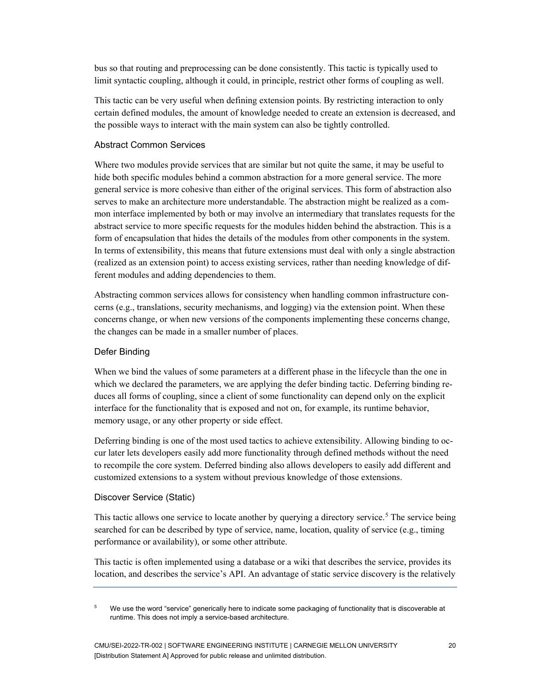bus so that routing and preprocessing can be done consistently. This tactic is typically used to limit syntactic coupling, although it could, in principle, restrict other forms of coupling as well.

This tactic can be very useful when defining extension points. By restricting interaction to only certain defined modules, the amount of knowledge needed to create an extension is decreased, and the possible ways to interact with the main system can also be tightly controlled.

#### Abstract Common Services

Where two modules provide services that are similar but not quite the same, it may be useful to hide both specific modules behind a common abstraction for a more general service. The more general service is more cohesive than either of the original services. This form of abstraction also serves to make an architecture more understandable. The abstraction might be realized as a common interface implemented by both or may involve an intermediary that translates requests for the abstract service to more specific requests for the modules hidden behind the abstraction. This is a form of encapsulation that hides the details of the modules from other components in the system. In terms of extensibility, this means that future extensions must deal with only a single abstraction (realized as an extension point) to access existing services, rather than needing knowledge of different modules and adding dependencies to them.

Abstracting common services allows for consistency when handling common infrastructure concerns (e.g., translations, security mechanisms, and logging) via the extension point. When these concerns change, or when new versions of the components implementing these concerns change, the changes can be made in a smaller number of places.

#### Defer Binding

When we bind the values of some parameters at a different phase in the lifecycle than the one in which we declared the parameters, we are applying the defer binding tactic. Deferring binding reduces all forms of coupling, since a client of some functionality can depend only on the explicit interface for the functionality that is exposed and not on, for example, its runtime behavior, memory usage, or any other property or side effect.

Deferring binding is one of the most used tactics to achieve extensibility. Allowing binding to occur later lets developers easily add more functionality through defined methods without the need to recompile the core system. Deferred binding also allows developers to easily add different and customized extensions to a system without previous knowledge of those extensions.

#### Discover Service (Static)

This tactic allows one service to locate another by querying a directory service.<sup>[5](#page-25-0)</sup> The service being searched for can be described by type of service, name, location, quality of service (e.g., timing performance or availability), or some other attribute.

This tactic is often implemented using a database or a wiki that describes the service, provides its location, and describes the service's API. An advantage of static service discovery is the relatively

<span id="page-25-0"></span><sup>&</sup>lt;sup>5</sup> We use the word "service" generically here to indicate some packaging of functionality that is discoverable at runtime. This does not imply a service-based architecture.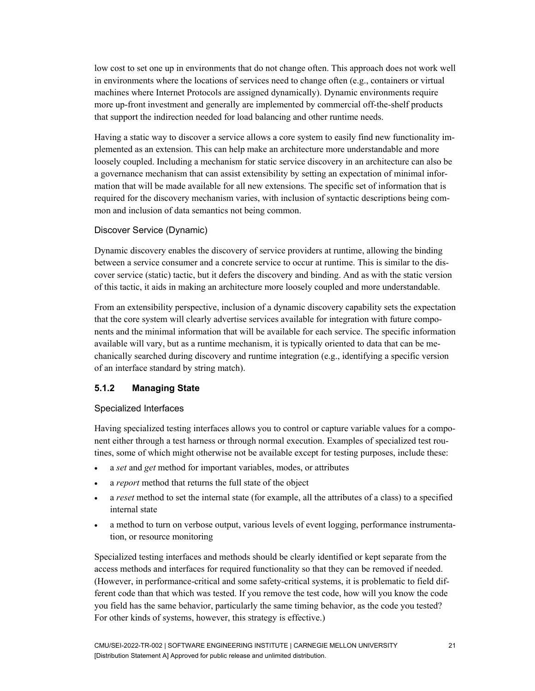low cost to set one up in environments that do not change often. This approach does not work well in environments where the locations of services need to change often (e.g., containers or virtual machines where Internet Protocols are assigned dynamically). Dynamic environments require more up-front investment and generally are implemented by commercial off-the-shelf products that support the indirection needed for load balancing and other runtime needs.

Having a static way to discover a service allows a core system to easily find new functionality implemented as an extension. This can help make an architecture more understandable and more loosely coupled. Including a mechanism for static service discovery in an architecture can also be a governance mechanism that can assist extensibility by setting an expectation of minimal information that will be made available for all new extensions. The specific set of information that is required for the discovery mechanism varies, with inclusion of syntactic descriptions being common and inclusion of data semantics not being common.

#### Discover Service (Dynamic)

Dynamic discovery enables the discovery of service providers at runtime, allowing the binding between a service consumer and a concrete service to occur at runtime. This is similar to the discover service (static) tactic, but it defers the discovery and binding. And as with the static version of this tactic, it aids in making an architecture more loosely coupled and more understandable.

From an extensibility perspective, inclusion of a dynamic discovery capability sets the expectation that the core system will clearly advertise services available for integration with future components and the minimal information that will be available for each service. The specific information available will vary, but as a runtime mechanism, it is typically oriented to data that can be mechanically searched during discovery and runtime integration (e.g., identifying a specific version of an interface standard by string match).

#### <span id="page-26-0"></span>**5.1.2 Managing State**

#### Specialized Interfaces

Having specialized testing interfaces allows you to control or capture variable values for a component either through a test harness or through normal execution. Examples of specialized test routines, some of which might otherwise not be available except for testing purposes, include these:

- a *set* and *get* method for important variables, modes, or attributes
- a *report* method that returns the full state of the object
- a *reset* method to set the internal state (for example, all the attributes of a class) to a specified internal state
- a method to turn on verbose output, various levels of event logging, performance instrumentation, or resource monitoring

Specialized testing interfaces and methods should be clearly identified or kept separate from the access methods and interfaces for required functionality so that they can be removed if needed. (However, in performance-critical and some safety-critical systems, it is problematic to field different code than that which was tested. If you remove the test code, how will you know the code you field has the same behavior, particularly the same timing behavior, as the code you tested? For other kinds of systems, however, this strategy is effective.)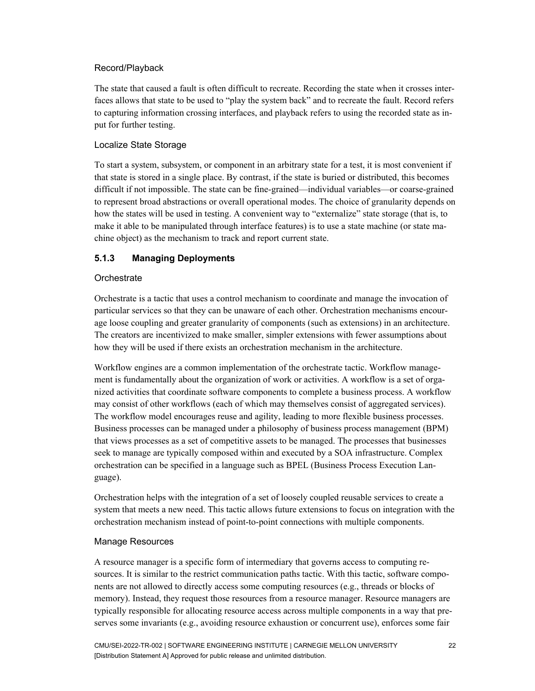#### Record/Playback

The state that caused a fault is often difficult to recreate. Recording the state when it crosses interfaces allows that state to be used to "play the system back" and to recreate the fault. Record refers to capturing information crossing interfaces, and playback refers to using the recorded state as input for further testing.

#### Localize State Storage

To start a system, subsystem, or component in an arbitrary state for a test, it is most convenient if that state is stored in a single place. By contrast, if the state is buried or distributed, this becomes difficult if not impossible. The state can be fine-grained—individual variables—or coarse-grained to represent broad abstractions or overall operational modes. The choice of granularity depends on how the states will be used in testing. A convenient way to "externalize" state storage (that is, to make it able to be manipulated through interface features) is to use a state machine (or state machine object) as the mechanism to track and report current state.

#### <span id="page-27-0"></span>**5.1.3 Managing Deployments**

#### **Orchestrate**

Orchestrate is a tactic that uses a control mechanism to coordinate and manage the invocation of particular services so that they can be unaware of each other. Orchestration mechanisms encourage loose coupling and greater granularity of components (such as extensions) in an architecture. The creators are incentivized to make smaller, simpler extensions with fewer assumptions about how they will be used if there exists an orchestration mechanism in the architecture.

Workflow engines are a common implementation of the orchestrate tactic. Workflow management is fundamentally about the organization of work or activities. A workflow is a set of organized activities that coordinate software components to complete a business process. A workflow may consist of other workflows (each of which may themselves consist of aggregated services). The workflow model encourages reuse and agility, leading to more flexible business processes. Business processes can be managed under a philosophy of business process management (BPM) that views processes as a set of competitive assets to be managed. The processes that businesses seek to manage are typically composed within and executed by a SOA infrastructure. Complex orchestration can be specified in a language such as BPEL (Business Process Execution Language).

Orchestration helps with the integration of a set of loosely coupled reusable services to create a system that meets a new need. This tactic allows future extensions to focus on integration with the orchestration mechanism instead of point-to-point connections with multiple components.

#### Manage Resources

A resource manager is a specific form of intermediary that governs access to computing resources. It is similar to the restrict communication paths tactic. With this tactic, software components are not allowed to directly access some computing resources (e.g., threads or blocks of memory). Instead, they request those resources from a resource manager. Resource managers are typically responsible for allocating resource access across multiple components in a way that preserves some invariants (e.g., avoiding resource exhaustion or concurrent use), enforces some fair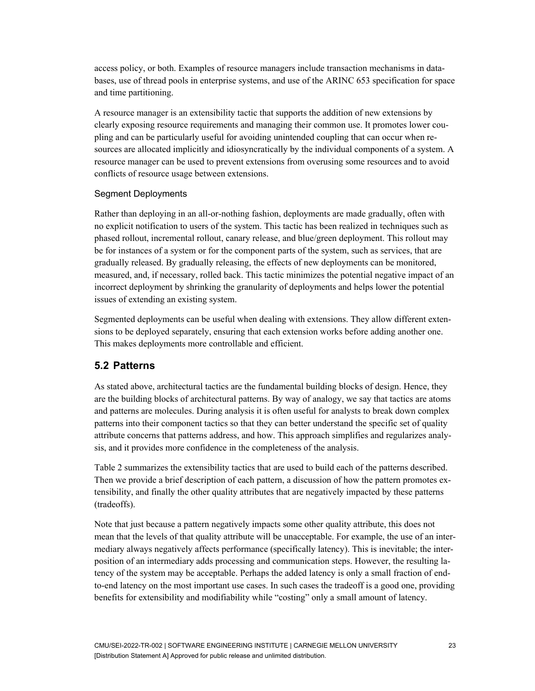access policy, or both. Examples of resource managers include transaction mechanisms in databases, use of thread pools in enterprise systems, and use of the ARINC 653 specification for space and time partitioning.

A resource manager is an extensibility tactic that supports the addition of new extensions by clearly exposing resource requirements and managing their common use. It promotes lower coupling and can be particularly useful for avoiding unintended coupling that can occur when resources are allocated implicitly and idiosyncratically by the individual components of a system. A resource manager can be used to prevent extensions from overusing some resources and to avoid conflicts of resource usage between extensions.

#### Segment Deployments

Rather than deploying in an all-or-nothing fashion, deployments are made gradually, often with no explicit notification to users of the system. This tactic has been realized in techniques such as phased rollout, incremental rollout, canary release, and blue/green deployment. This rollout may be for instances of a system or for the component parts of the system, such as services, that are gradually released. By gradually releasing, the effects of new deployments can be monitored, measured, and, if necessary, rolled back. This tactic minimizes the potential negative impact of an incorrect deployment by shrinking the granularity of deployments and helps lower the potential issues of extending an existing system.

Segmented deployments can be useful when dealing with extensions. They allow different extensions to be deployed separately, ensuring that each extension works before adding another one. This makes deployments more controllable and efficient.

#### <span id="page-28-0"></span>**5.2 Patterns**

As stated above, architectural tactics are the fundamental building blocks of design. Hence, they are the building blocks of architectural patterns. By way of analogy, we say that tactics are atoms and patterns are molecules. During analysis it is often useful for analysts to break down complex patterns into their component tactics so that they can better understand the specific set of quality attribute concerns that patterns address, and how. This approach simplifies and regularizes analysis, and it provides more confidence in the completeness of the analysis.

[Table 2](#page-29-1) summarizes the extensibility tactics that are used to build each of the patterns described. Then we provide a brief description of each pattern, a discussion of how the pattern promotes extensibility, and finally the other quality attributes that are negatively impacted by these patterns (tradeoffs).

Note that just because a pattern negatively impacts some other quality attribute, this does not mean that the levels of that quality attribute will be unacceptable. For example, the use of an intermediary always negatively affects performance (specifically latency). This is inevitable; the interposition of an intermediary adds processing and communication steps. However, the resulting latency of the system may be acceptable. Perhaps the added latency is only a small fraction of endto-end latency on the most important use cases. In such cases the tradeoff is a good one, providing benefits for extensibility and modifiability while "costing" only a small amount of latency.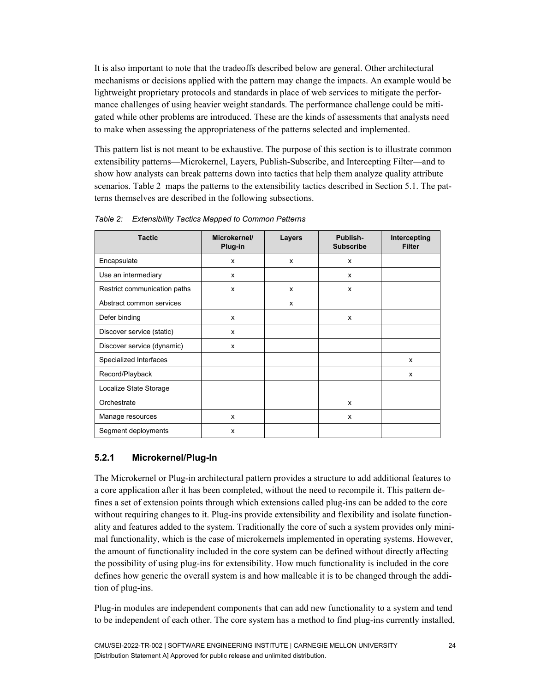It is also important to note that the tradeoffs described below are general. Other architectural mechanisms or decisions applied with the pattern may change the impacts. An example would be lightweight proprietary protocols and standards in place of web services to mitigate the performance challenges of using heavier weight standards. The performance challenge could be mitigated while other problems are introduced. These are the kinds of assessments that analysts need to make when assessing the appropriateness of the patterns selected and implemented.

This pattern list is not meant to be exhaustive. The purpose of this section is to illustrate common extensibility patterns—Microkernel, Layers, Publish-Subscribe, and Intercepting Filter—and to show how analysts can break patterns down into tactics that help them analyze quality attribute scenarios. [Table 2](#page-29-1) maps the patterns to the extensibility tactics described in Section [5.1.](#page-22-1) The patterns themselves are described in the following subsections.

| <b>Tactic</b>                | Microkernel/<br>Plug-in | Layers | Publish-<br><b>Subscribe</b> | Intercepting<br><b>Filter</b> |
|------------------------------|-------------------------|--------|------------------------------|-------------------------------|
| Encapsulate                  | x                       | X      | x                            |                               |
| Use an intermediary          | x                       |        | x                            |                               |
| Restrict communication paths | x                       | x      | x                            |                               |
| Abstract common services     |                         | X      |                              |                               |
| Defer binding                | x                       |        | x                            |                               |
| Discover service (static)    | x                       |        |                              |                               |
| Discover service (dynamic)   | X                       |        |                              |                               |
| Specialized Interfaces       |                         |        |                              | X                             |
| Record/Playback              |                         |        |                              | X                             |
| Localize State Storage       |                         |        |                              |                               |
| Orchestrate                  |                         |        | x                            |                               |
| Manage resources             | X                       |        | x                            |                               |
| Segment deployments          | X                       |        |                              |                               |

<span id="page-29-1"></span>*Table 2: Extensibility Tactics Mapped to Common Patterns*

## <span id="page-29-0"></span>**5.2.1 Microkernel/Plug-In**

The Microkernel or Plug-in architectural pattern provides a structure to add additional features to a core application after it has been completed, without the need to recompile it. This pattern defines a set of extension points through which extensions called plug-ins can be added to the core without requiring changes to it. Plug-ins provide extensibility and flexibility and isolate functionality and features added to the system. Traditionally the core of such a system provides only minimal functionality, which is the case of microkernels implemented in operating systems. However, the amount of functionality included in the core system can be defined without directly affecting the possibility of using plug-ins for extensibility. How much functionality is included in the core defines how generic the overall system is and how malleable it is to be changed through the addition of plug-ins.

Plug-in modules are independent components that can add new functionality to a system and tend to be independent of each other. The core system has a method to find plug-ins currently installed,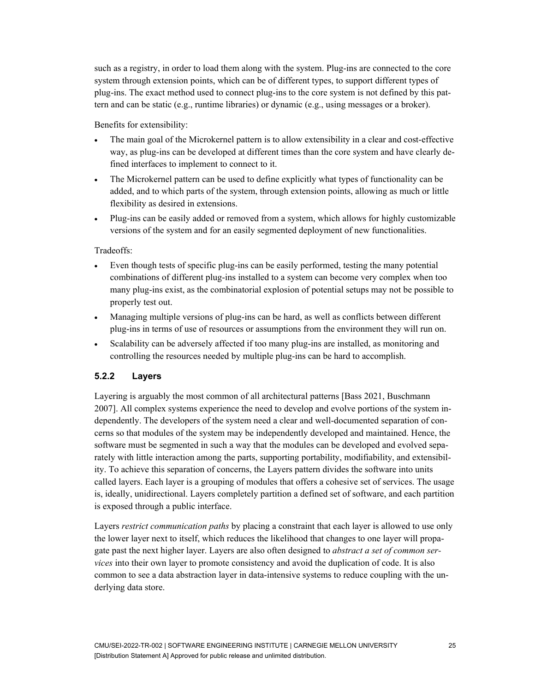such as a registry, in order to load them along with the system. Plug-ins are connected to the core system through extension points, which can be of different types, to support different types of plug-ins. The exact method used to connect plug-ins to the core system is not defined by this pattern and can be static (e.g., runtime libraries) or dynamic (e.g., using messages or a broker).

Benefits for extensibility:

- The main goal of the Microkernel pattern is to allow extensibility in a clear and cost-effective way, as plug-ins can be developed at different times than the core system and have clearly defined interfaces to implement to connect to it.
- The Microkernel pattern can be used to define explicitly what types of functionality can be added, and to which parts of the system, through extension points, allowing as much or little flexibility as desired in extensions.
- Plug-ins can be easily added or removed from a system, which allows for highly customizable versions of the system and for an easily segmented deployment of new functionalities.

Tradeoffs:

- Even though tests of specific plug-ins can be easily performed, testing the many potential combinations of different plug-ins installed to a system can become very complex when too many plug-ins exist, as the combinatorial explosion of potential setups may not be possible to properly test out.
- Managing multiple versions of plug-ins can be hard, as well as conflicts between different plug-ins in terms of use of resources or assumptions from the environment they will run on.
- Scalability can be adversely affected if too many plug-ins are installed, as monitoring and controlling the resources needed by multiple plug-ins can be hard to accomplish.

#### <span id="page-30-0"></span>**5.2.2 Layers**

Layering is arguably the most common of all architectural patterns [Bass 2021, Buschmann 2007]. All complex systems experience the need to develop and evolve portions of the system independently. The developers of the system need a clear and well-documented separation of concerns so that modules of the system may be independently developed and maintained. Hence, the software must be segmented in such a way that the modules can be developed and evolved separately with little interaction among the parts, supporting portability, modifiability, and extensibility. To achieve this separation of concerns, the Layers pattern divides the software into units called layers. Each layer is a grouping of modules that offers a cohesive set of services. The usage is, ideally, unidirectional. Layers completely partition a defined set of software, and each partition is exposed through a public interface.

Layers *restrict communication paths* by placing a constraint that each layer is allowed to use only the lower layer next to itself, which reduces the likelihood that changes to one layer will propagate past the next higher layer. Layers are also often designed to *abstract a set of common services* into their own layer to promote consistency and avoid the duplication of code. It is also common to see a data abstraction layer in data-intensive systems to reduce coupling with the underlying data store.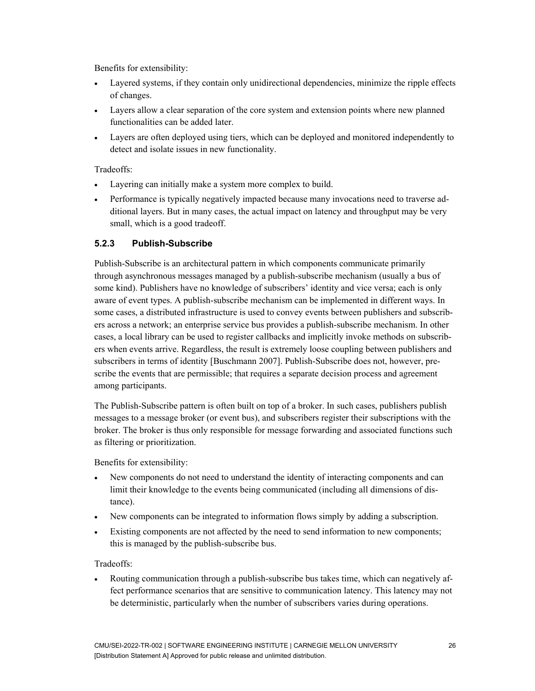Benefits for extensibility:

- Layered systems, if they contain only unidirectional dependencies, minimize the ripple effects of changes.
- Layers allow a clear separation of the core system and extension points where new planned functionalities can be added later.
- Layers are often deployed using tiers, which can be deployed and monitored independently to detect and isolate issues in new functionality.

Tradeoffs:

- Layering can initially make a system more complex to build.
- Performance is typically negatively impacted because many invocations need to traverse additional layers. But in many cases, the actual impact on latency and throughput may be very small, which is a good tradeoff.

#### <span id="page-31-0"></span>**5.2.3 Publish-Subscribe**

Publish-Subscribe is an architectural pattern in which components communicate primarily through asynchronous messages managed by a publish-subscribe mechanism (usually a bus of some kind). Publishers have no knowledge of subscribers' identity and vice versa; each is only aware of event types. A publish-subscribe mechanism can be implemented in different ways. In some cases, a distributed infrastructure is used to convey events between publishers and subscribers across a network; an enterprise service bus provides a publish-subscribe mechanism. In other cases, a local library can be used to register callbacks and implicitly invoke methods on subscribers when events arrive. Regardless, the result is extremely loose coupling between publishers and subscribers in terms of identity [Buschmann 2007]. Publish-Subscribe does not, however, prescribe the events that are permissible; that requires a separate decision process and agreement among participants.

The Publish-Subscribe pattern is often built on top of a broker. In such cases, publishers publish messages to a message broker (or event bus), and subscribers register their subscriptions with the broker. The broker is thus only responsible for message forwarding and associated functions such as filtering or prioritization.

Benefits for extensibility:

- New components do not need to understand the identity of interacting components and can limit their knowledge to the events being communicated (including all dimensions of distance).
- New components can be integrated to information flows simply by adding a subscription.
- Existing components are not affected by the need to send information to new components; this is managed by the publish-subscribe bus.

#### Tradeoffs:

• Routing communication through a publish-subscribe bus takes time, which can negatively affect performance scenarios that are sensitive to communication latency. This latency may not be deterministic, particularly when the number of subscribers varies during operations.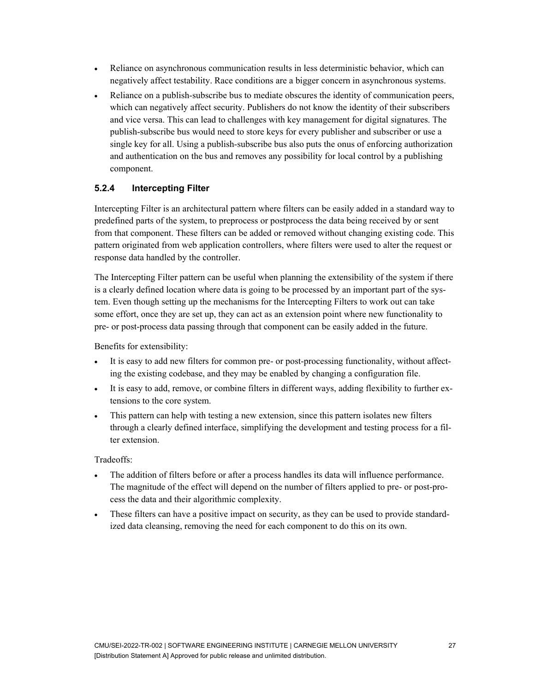- Reliance on asynchronous communication results in less deterministic behavior, which can negatively affect testability. Race conditions are a bigger concern in asynchronous systems.
- Reliance on a publish-subscribe bus to mediate obscures the identity of communication peers, which can negatively affect security. Publishers do not know the identity of their subscribers and vice versa. This can lead to challenges with key management for digital signatures. The publish-subscribe bus would need to store keys for every publisher and subscriber or use a single key for all. Using a publish-subscribe bus also puts the onus of enforcing authorization and authentication on the bus and removes any possibility for local control by a publishing component.

#### <span id="page-32-0"></span>**5.2.4 Intercepting Filter**

Intercepting Filter is an architectural pattern where filters can be easily added in a standard way to predefined parts of the system, to preprocess or postprocess the data being received by or sent from that component. These filters can be added or removed without changing existing code. This pattern originated from web application controllers, where filters were used to alter the request or response data handled by the controller.

The Intercepting Filter pattern can be useful when planning the extensibility of the system if there is a clearly defined location where data is going to be processed by an important part of the system. Even though setting up the mechanisms for the Intercepting Filters to work out can take some effort, once they are set up, they can act as an extension point where new functionality to pre- or post-process data passing through that component can be easily added in the future.

Benefits for extensibility:

- It is easy to add new filters for common pre- or post-processing functionality, without affecting the existing codebase, and they may be enabled by changing a configuration file.
- It is easy to add, remove, or combine filters in different ways, adding flexibility to further extensions to the core system.
- This pattern can help with testing a new extension, since this pattern isolates new filters through a clearly defined interface, simplifying the development and testing process for a filter extension.

Tradeoffs:

- The addition of filters before or after a process handles its data will influence performance. The magnitude of the effect will depend on the number of filters applied to pre- or post-process the data and their algorithmic complexity.
- These filters can have a positive impact on security, as they can be used to provide standardized data cleansing, removing the need for each component to do this on its own.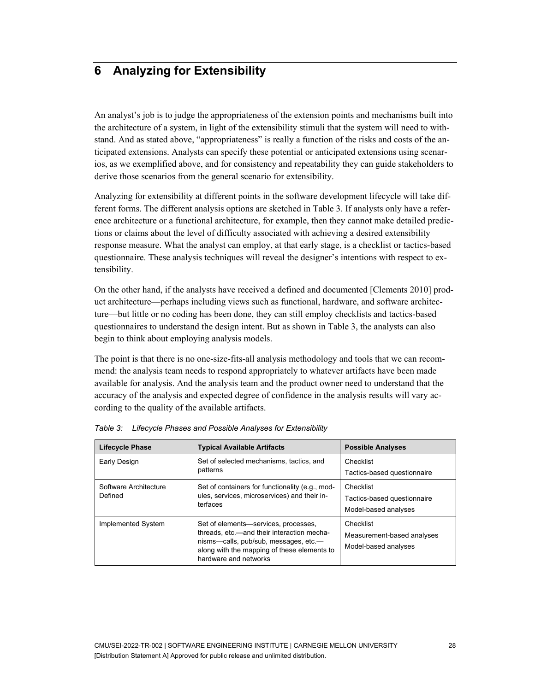# <span id="page-33-0"></span>**6 Analyzing for Extensibility**

An analyst's job is to judge the appropriateness of the extension points and mechanisms built into the architecture of a system, in light of the extensibility stimuli that the system will need to withstand. And as stated above, "appropriateness" is really a function of the risks and costs of the anticipated extensions. Analysts can specify these potential or anticipated extensions using scenarios, as we exemplified above, and for consistency and repeatability they can guide stakeholders to derive those scenarios from the general scenario for extensibility.

Analyzing for extensibility at different points in the software development lifecycle will take different forms. The different analysis options are sketched in [Table 3.](#page-33-1) If analysts only have a reference architecture or a functional architecture, for example, then they cannot make detailed predictions or claims about the level of difficulty associated with achieving a desired extensibility response measure. What the analyst can employ, at that early stage, is a checklist or tactics-based questionnaire. These analysis techniques will reveal the designer's intentions with respect to extensibility.

On the other hand, if the analysts have received a defined and documented [Clements 2010] product architecture—perhaps including views such as functional, hardware, and software architecture—but little or no coding has been done, they can still employ checklists and tactics-based questionnaires to understand the design intent. But as shown in [Table 3,](#page-33-1) the analysts can also begin to think about employing analysis models.

The point is that there is no one-size-fits-all analysis methodology and tools that we can recommend: the analysis team needs to respond appropriately to whatever artifacts have been made available for analysis. And the analysis team and the product owner need to understand that the accuracy of the analysis and expected degree of confidence in the analysis results will vary according to the quality of the available artifacts.

| <b>Lifecycle Phase</b>           | <b>Typical Available Artifacts</b>                                                                                                                                                                  | <b>Possible Analyses</b>                                         |
|----------------------------------|-----------------------------------------------------------------------------------------------------------------------------------------------------------------------------------------------------|------------------------------------------------------------------|
| Early Design                     | Set of selected mechanisms, tactics, and<br>patterns                                                                                                                                                | Checklist<br>Tactics-based questionnaire                         |
| Software Architecture<br>Defined | Set of containers for functionality (e.g., mod-<br>ules, services, microservices) and their in-<br>terfaces                                                                                         | Checklist<br>Tactics-based questionnaire<br>Model-based analyses |
| Implemented System               | Set of elements—services, processes,<br>threads, etc.—and their interaction mecha-<br>nisms-calls, pub/sub, messages, etc.-<br>along with the mapping of these elements to<br>hardware and networks | Checklist<br>Measurement-based analyses<br>Model-based analyses  |

<span id="page-33-1"></span>*Table 3: Lifecycle Phases and Possible Analyses for Extensibility*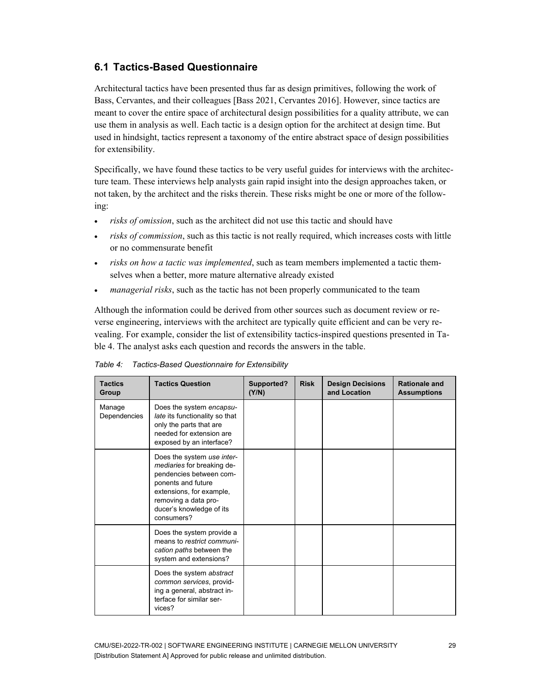# <span id="page-34-0"></span>**6.1 Tactics-Based Questionnaire**

Architectural tactics have been presented thus far as design primitives, following the work of Bass, Cervantes, and their colleagues [Bass 2021, Cervantes 2016]. However, since tactics are meant to cover the entire space of architectural design possibilities for a quality attribute, we can use them in analysis as well. Each tactic is a design option for the architect at design time. But used in hindsight, tactics represent a taxonomy of the entire abstract space of design possibilities for extensibility.

Specifically, we have found these tactics to be very useful guides for interviews with the architecture team. These interviews help analysts gain rapid insight into the design approaches taken, or not taken, by the architect and the risks therein. These risks might be one or more of the following:

- *risks of omission*, such as the architect did not use this tactic and should have
- *risks of commission*, such as this tactic is not really required, which increases costs with little or no commensurate benefit
- *risks on how a tactic was implemented*, such as team members implemented a tactic themselves when a better, more mature alternative already existed
- *managerial risks*, such as the tactic has not been properly communicated to the team

Although the information could be derived from other sources such as document review or reverse engineering, interviews with the architect are typically quite efficient and can be very revealing. For example, consider the list of extensibility tactics-inspired questions presented in [Ta](#page-34-1)[ble 4.](#page-34-1) The analyst asks each question and records the answers in the table.

| <b>Tactics</b><br>Group | <b>Tactics Question</b>                                                                                                                                                                                 | Supported?<br>(Y/N) | <b>Risk</b> | <b>Design Decisions</b><br>and Location | <b>Rationale and</b><br><b>Assumptions</b> |
|-------------------------|---------------------------------------------------------------------------------------------------------------------------------------------------------------------------------------------------------|---------------------|-------------|-----------------------------------------|--------------------------------------------|
| Manage<br>Dependencies  | Does the system encapsu-<br>late its functionality so that<br>only the parts that are<br>needed for extension are<br>exposed by an interface?                                                           |                     |             |                                         |                                            |
|                         | Does the system use inter-<br>mediaries for breaking de-<br>pendencies between com-<br>ponents and future<br>extensions, for example,<br>removing a data pro-<br>ducer's knowledge of its<br>consumers? |                     |             |                                         |                                            |
|                         | Does the system provide a<br>means to restrict communi-<br>cation paths between the<br>system and extensions?                                                                                           |                     |             |                                         |                                            |
|                         | Does the system abstract<br>common services, provid-<br>ing a general, abstract in-<br>terface for similar ser-<br>vices?                                                                               |                     |             |                                         |                                            |

<span id="page-34-1"></span>*Table 4: Tactics-Based Questionnaire for Extensibility*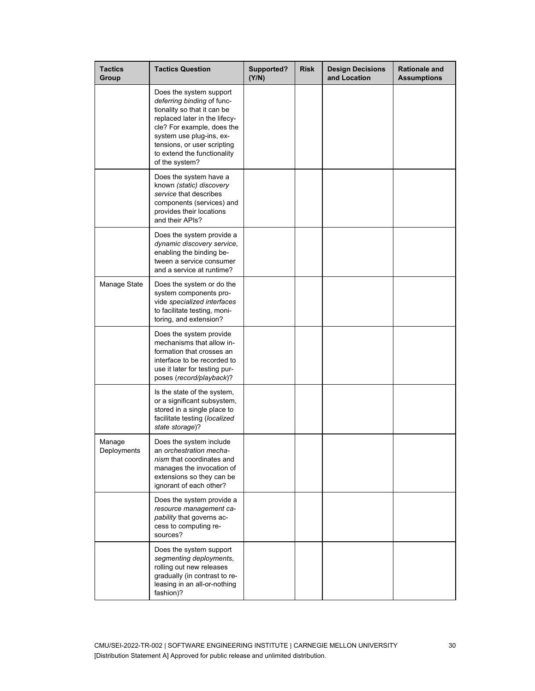| <b>Tactics</b><br>Group | <b>Tactics Question</b>                                                                                                                                                                                                                                         | Supported?<br>(Y/N) | <b>Risk</b> | <b>Design Decisions</b><br>and Location | <b>Rationale and</b><br><b>Assumptions</b> |
|-------------------------|-----------------------------------------------------------------------------------------------------------------------------------------------------------------------------------------------------------------------------------------------------------------|---------------------|-------------|-----------------------------------------|--------------------------------------------|
|                         | Does the system support<br>deferring binding of func-<br>tionality so that it can be<br>replaced later in the lifecy-<br>cle? For example, does the<br>system use plug-ins, ex-<br>tensions, or user scripting<br>to extend the functionality<br>of the system? |                     |             |                                         |                                            |
|                         | Does the system have a<br>known (static) discovery<br>service that describes<br>components (services) and<br>provides their locations<br>and their APIs?                                                                                                        |                     |             |                                         |                                            |
|                         | Does the system provide a<br>dynamic discovery service,<br>enabling the binding be-<br>tween a service consumer<br>and a service at runtime?                                                                                                                    |                     |             |                                         |                                            |
| Manage State            | Does the system or do the<br>system components pro-<br>vide specialized interfaces<br>to facilitate testing, moni-<br>toring, and extension?                                                                                                                    |                     |             |                                         |                                            |
|                         | Does the system provide<br>mechanisms that allow in-<br>formation that crosses an<br>interface to be recorded to<br>use it later for testing pur-<br>poses (record/playback)?                                                                                   |                     |             |                                         |                                            |
|                         | Is the state of the system,<br>or a significant subsystem,<br>stored in a single place to<br>facilitate testing (localized<br>state storage)?                                                                                                                   |                     |             |                                         |                                            |
| Manage<br>Deployments   | Does the system include<br>an orchestration mecha-<br>nism that coordinates and<br>manages the invocation of<br>extensions so they can be<br>ignorant of each other?                                                                                            |                     |             |                                         |                                            |
|                         | Does the system provide a<br>resource management ca-<br>pability that governs ac-<br>cess to computing re-<br>sources?                                                                                                                                          |                     |             |                                         |                                            |
|                         | Does the system support<br>segmenting deployments,<br>rolling out new releases<br>gradually (in contrast to re-<br>leasing in an all-or-nothing<br>fashion)?                                                                                                    |                     |             |                                         |                                            |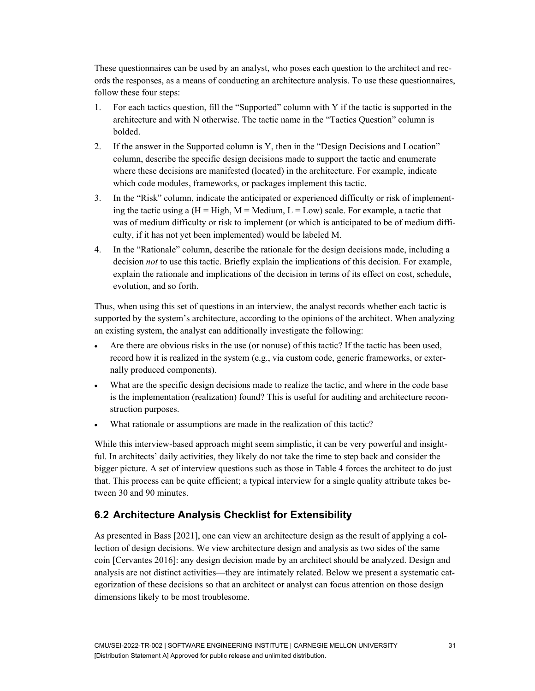These questionnaires can be used by an analyst, who poses each question to the architect and records the responses, as a means of conducting an architecture analysis. To use these questionnaires, follow these four steps:

- 1. For each tactics question, fill the "Supported" column with Y if the tactic is supported in the architecture and with N otherwise. The tactic name in the "Tactics Question" column is bolded.
- 2. If the answer in the Supported column is Y, then in the "Design Decisions and Location" column, describe the specific design decisions made to support the tactic and enumerate where these decisions are manifested (located) in the architecture. For example, indicate which code modules, frameworks, or packages implement this tactic.
- 3. In the "Risk" column, indicate the anticipated or experienced difficulty or risk of implementing the tactic using a  $(H = High, M = Medium, L = Low)$  scale. For example, a tactic that was of medium difficulty or risk to implement (or which is anticipated to be of medium difficulty, if it has not yet been implemented) would be labeled M.
- 4. In the "Rationale" column, describe the rationale for the design decisions made, including a decision *not* to use this tactic. Briefly explain the implications of this decision. For example, explain the rationale and implications of the decision in terms of its effect on cost, schedule, evolution, and so forth.

Thus, when using this set of questions in an interview, the analyst records whether each tactic is supported by the system's architecture, according to the opinions of the architect. When analyzing an existing system, the analyst can additionally investigate the following:

- Are there are obvious risks in the use (or nonuse) of this tactic? If the tactic has been used, record how it is realized in the system (e.g., via custom code, generic frameworks, or externally produced components).
- What are the specific design decisions made to realize the tactic, and where in the code base is the implementation (realization) found? This is useful for auditing and architecture reconstruction purposes.
- What rationale or assumptions are made in the realization of this tactic?

While this interview-based approach might seem simplistic, it can be very powerful and insightful. In architects' daily activities, they likely do not take the time to step back and consider the bigger picture. A set of interview questions such as those in [Table 4](#page-34-1) forces the architect to do just that. This process can be quite efficient; a typical interview for a single quality attribute takes between 30 and 90 minutes.

# <span id="page-36-0"></span>**6.2 Architecture Analysis Checklist for Extensibility**

As presented in Bass [2021], one can view an architecture design as the result of applying a collection of design decisions. We view architecture design and analysis as two sides of the same coin [Cervantes 2016]: any design decision made by an architect should be analyzed. Design and analysis are not distinct activities—they are intimately related. Below we present a systematic categorization of these decisions so that an architect or analyst can focus attention on those design dimensions likely to be most troublesome.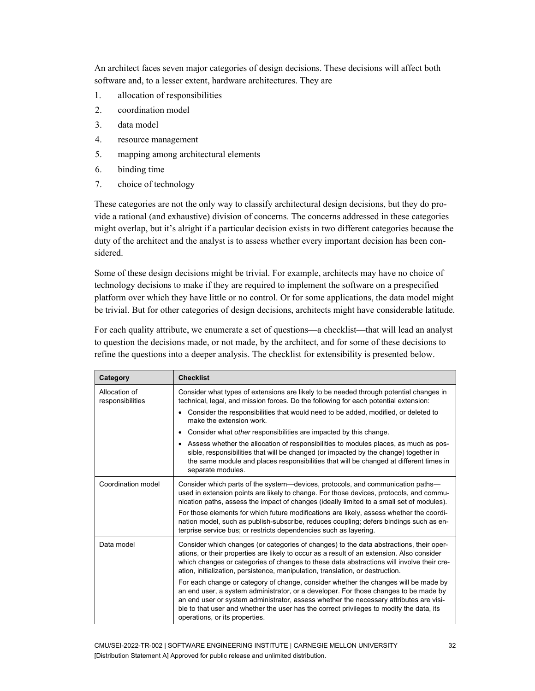An architect faces seven major categories of design decisions. These decisions will affect both software and, to a lesser extent, hardware architectures. They are

- 1. allocation of responsibilities
- 2. coordination model
- 3. data model
- 4. resource management
- 5. mapping among architectural elements
- 6. binding time
- 7. choice of technology

These categories are not the only way to classify architectural design decisions, but they do provide a rational (and exhaustive) division of concerns. The concerns addressed in these categories might overlap, but it's alright if a particular decision exists in two different categories because the duty of the architect and the analyst is to assess whether every important decision has been considered.

Some of these design decisions might be trivial. For example, architects may have no choice of technology decisions to make if they are required to implement the software on a prespecified platform over which they have little or no control. Or for some applications, the data model might be trivial. But for other categories of design decisions, architects might have considerable latitude.

For each quality attribute, we enumerate a set of questions—a checklist—that will lead an analyst to question the decisions made, or not made, by the architect, and for some of these decisions to refine the questions into a deeper analysis. The checklist for extensibility is presented below.

| Category                          | <b>Checklist</b>                                                                                                                                                                                                                                                                                                                                                                                    |  |  |
|-----------------------------------|-----------------------------------------------------------------------------------------------------------------------------------------------------------------------------------------------------------------------------------------------------------------------------------------------------------------------------------------------------------------------------------------------------|--|--|
| Allocation of<br>responsibilities | Consider what types of extensions are likely to be needed through potential changes in<br>technical, legal, and mission forces. Do the following for each potential extension:                                                                                                                                                                                                                      |  |  |
|                                   | Consider the responsibilities that would need to be added, modified, or deleted to<br>$\bullet$<br>make the extension work.                                                                                                                                                                                                                                                                         |  |  |
|                                   | Consider what <i>other</i> responsibilities are impacted by this change.<br>$\bullet$                                                                                                                                                                                                                                                                                                               |  |  |
|                                   | • Assess whether the allocation of responsibilities to modules places, as much as pos-<br>sible, responsibilities that will be changed (or impacted by the change) together in<br>the same module and places responsibilities that will be changed at different times in<br>separate modules.                                                                                                       |  |  |
| Coordination model                | Consider which parts of the system—devices, protocols, and communication paths—<br>used in extension points are likely to change. For those devices, protocols, and commu-<br>nication paths, assess the impact of changes (ideally limited to a small set of modules).                                                                                                                             |  |  |
|                                   | For those elements for which future modifications are likely, assess whether the coordi-<br>nation model, such as publish-subscribe, reduces coupling; defers bindings such as en-<br>terprise service bus; or restricts dependencies such as layering.                                                                                                                                             |  |  |
| Data model                        | Consider which changes (or categories of changes) to the data abstractions, their oper-<br>ations, or their properties are likely to occur as a result of an extension. Also consider<br>which changes or categories of changes to these data abstractions will involve their cre-<br>ation, initialization, persistence, manipulation, translation, or destruction.                                |  |  |
|                                   | For each change or category of change, consider whether the changes will be made by<br>an end user, a system administrator, or a developer. For those changes to be made by<br>an end user or system administrator, assess whether the necessary attributes are visi-<br>ble to that user and whether the user has the correct privileges to modify the data, its<br>operations, or its properties. |  |  |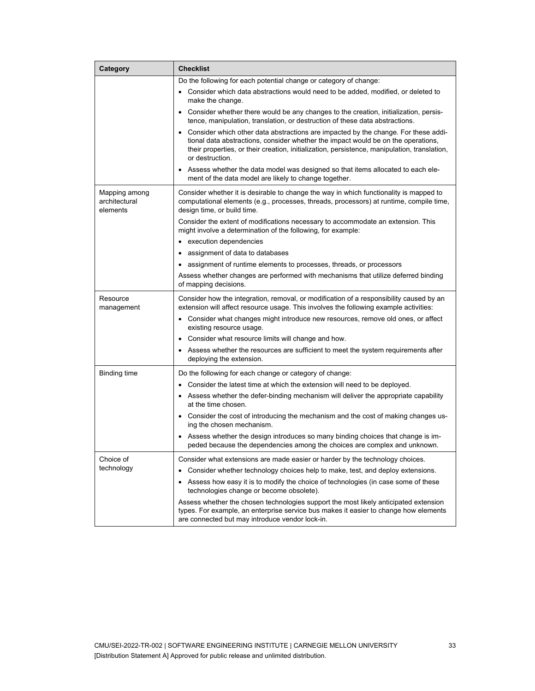| Category                                                                                                                                                                                                                                                       | <b>Checklist</b>                                                                                                                                                                                                                                                                             |  |  |  |
|----------------------------------------------------------------------------------------------------------------------------------------------------------------------------------------------------------------------------------------------------------------|----------------------------------------------------------------------------------------------------------------------------------------------------------------------------------------------------------------------------------------------------------------------------------------------|--|--|--|
|                                                                                                                                                                                                                                                                | Do the following for each potential change or category of change:                                                                                                                                                                                                                            |  |  |  |
|                                                                                                                                                                                                                                                                | Consider which data abstractions would need to be added, modified, or deleted to<br>$\bullet$<br>make the change.                                                                                                                                                                            |  |  |  |
|                                                                                                                                                                                                                                                                | Consider whether there would be any changes to the creation, initialization, persis-<br>$\bullet$<br>tence, manipulation, translation, or destruction of these data abstractions.                                                                                                            |  |  |  |
|                                                                                                                                                                                                                                                                | • Consider which other data abstractions are impacted by the change. For these addi-<br>tional data abstractions, consider whether the impact would be on the operations,<br>their properties, or their creation, initialization, persistence, manipulation, translation,<br>or destruction. |  |  |  |
|                                                                                                                                                                                                                                                                | • Assess whether the data model was designed so that items allocated to each ele-<br>ment of the data model are likely to change together.                                                                                                                                                   |  |  |  |
| Mapping among<br>Consider whether it is desirable to change the way in which functionality is mapped to<br>architectural<br>computational elements (e.g., processes, threads, processors) at runtime, compile time,<br>elements<br>design time, or build time. |                                                                                                                                                                                                                                                                                              |  |  |  |
|                                                                                                                                                                                                                                                                | Consider the extent of modifications necessary to accommodate an extension. This<br>might involve a determination of the following, for example:                                                                                                                                             |  |  |  |
|                                                                                                                                                                                                                                                                | • execution dependencies                                                                                                                                                                                                                                                                     |  |  |  |
|                                                                                                                                                                                                                                                                | • assignment of data to databases                                                                                                                                                                                                                                                            |  |  |  |
|                                                                                                                                                                                                                                                                | • assignment of runtime elements to processes, threads, or processors                                                                                                                                                                                                                        |  |  |  |
|                                                                                                                                                                                                                                                                | Assess whether changes are performed with mechanisms that utilize deferred binding<br>of mapping decisions.                                                                                                                                                                                  |  |  |  |
| Resource<br>management                                                                                                                                                                                                                                         | Consider how the integration, removal, or modification of a responsibility caused by an<br>extension will affect resource usage. This involves the following example activities:                                                                                                             |  |  |  |
|                                                                                                                                                                                                                                                                | • Consider what changes might introduce new resources, remove old ones, or affect<br>existing resource usage.                                                                                                                                                                                |  |  |  |
|                                                                                                                                                                                                                                                                | • Consider what resource limits will change and how.                                                                                                                                                                                                                                         |  |  |  |
|                                                                                                                                                                                                                                                                | • Assess whether the resources are sufficient to meet the system requirements after<br>deploying the extension.                                                                                                                                                                              |  |  |  |
| <b>Binding time</b>                                                                                                                                                                                                                                            | Do the following for each change or category of change:                                                                                                                                                                                                                                      |  |  |  |
|                                                                                                                                                                                                                                                                | • Consider the latest time at which the extension will need to be deployed.                                                                                                                                                                                                                  |  |  |  |
|                                                                                                                                                                                                                                                                | • Assess whether the defer-binding mechanism will deliver the appropriate capability<br>at the time chosen.                                                                                                                                                                                  |  |  |  |
|                                                                                                                                                                                                                                                                | • Consider the cost of introducing the mechanism and the cost of making changes us-<br>ing the chosen mechanism.                                                                                                                                                                             |  |  |  |
|                                                                                                                                                                                                                                                                | Assess whether the design introduces so many binding choices that change is im-<br>٠<br>peded because the dependencies among the choices are complex and unknown.                                                                                                                            |  |  |  |
| Choice of                                                                                                                                                                                                                                                      | Consider what extensions are made easier or harder by the technology choices.                                                                                                                                                                                                                |  |  |  |
| technology                                                                                                                                                                                                                                                     | Consider whether technology choices help to make, test, and deploy extensions.<br>٠                                                                                                                                                                                                          |  |  |  |
|                                                                                                                                                                                                                                                                | Assess how easy it is to modify the choice of technologies (in case some of these<br>٠<br>technologies change or become obsolete).                                                                                                                                                           |  |  |  |
| Assess whether the chosen technologies support the most likely anticipated extension<br>types. For example, an enterprise service bus makes it easier to change how elements<br>are connected but may introduce vendor lock-in.                                |                                                                                                                                                                                                                                                                                              |  |  |  |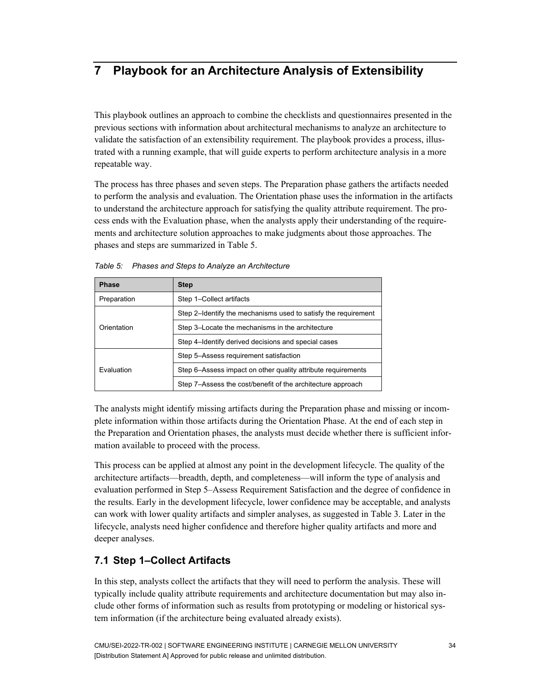# <span id="page-39-0"></span>**7 Playbook for an Architecture Analysis of Extensibility**

This playbook outlines an approach to combine the checklists and questionnaires presented in the previous sections with information about architectural mechanisms to analyze an architecture to validate the satisfaction of an extensibility requirement. The playbook provides a process, illustrated with a running example, that will guide experts to perform architecture analysis in a more repeatable way.

The process has three phases and seven steps. The Preparation phase gathers the artifacts needed to perform the analysis and evaluation. The Orientation phase uses the information in the artifacts to understand the architecture approach for satisfying the quality attribute requirement. The process ends with the Evaluation phase, when the analysts apply their understanding of the requirements and architecture solution approaches to make judgments about those approaches. The phases and steps are summarized in [Table 5.](#page-39-2)

| <b>Phase</b> | <b>Step</b>                                                    |  |  |
|--------------|----------------------------------------------------------------|--|--|
| Preparation  | Step 1–Collect artifacts                                       |  |  |
|              | Step 2–Identify the mechanisms used to satisfy the requirement |  |  |
| Orientation  | Step 3–Locate the mechanisms in the architecture               |  |  |
|              | Step 4–Identify derived decisions and special cases            |  |  |
|              | Step 5-Assess requirement satisfaction                         |  |  |
| Fvaluation   | Step 6–Assess impact on other quality attribute requirements   |  |  |
|              | Step 7–Assess the cost/benefit of the architecture approach    |  |  |

<span id="page-39-2"></span>*Table 5: Phases and Steps to Analyze an Architecture*

The analysts might identify missing artifacts during the Preparation phase and missing or incomplete information within those artifacts during the Orientation Phase. At the end of each step in the Preparation and Orientation phases, the analysts must decide whether there is sufficient information available to proceed with the process.

This process can be applied at almost any point in the development lifecycle. The quality of the architecture artifacts—breadth, depth, and completeness—will inform the type of analysis and evaluation performed in [Step 5–Assess Requirement Satisfaction](#page-44-0) and the degree of confidence in the results. Early in the development lifecycle, lower confidence may be acceptable, and analysts can work with lower quality artifacts and simpler analyses, as suggested in [Table 3.](#page-33-1) Later in the lifecycle, analysts need higher confidence and therefore higher quality artifacts and more and deeper analyses.

# <span id="page-39-1"></span>**7.1 Step 1–Collect Artifacts**

In this step, analysts collect the artifacts that they will need to perform the analysis. These will typically include quality attribute requirements and architecture documentation but may also include other forms of information such as results from prototyping or modeling or historical system information (if the architecture being evaluated already exists).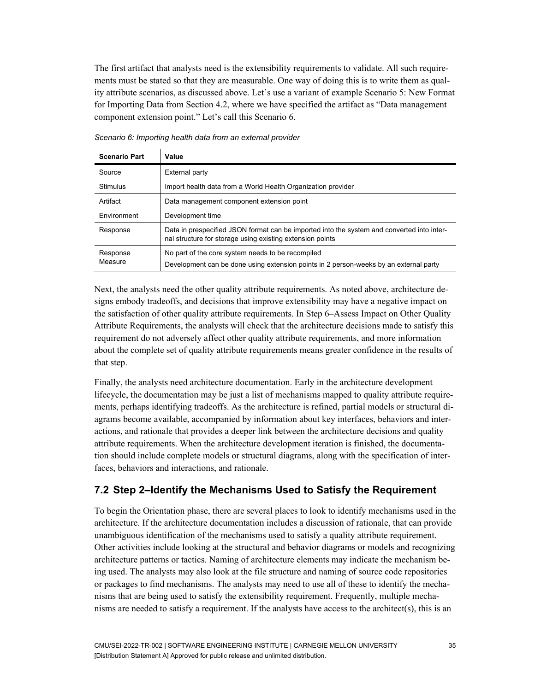The first artifact that analysts need is the extensibility requirements to validate. All such requirements must be stated so that they are measurable. One way of doing this is to write them as quality attribute scenarios, as discussed above. Let's use a variant of exampl[e Scenario 5: New Format](#page-21-0)  [for Importing Data](#page-21-0) from Section [4.2,](#page-19-0) where we have specified the artifact as "Data management component extension point." Let's call this Scenario 6.

| <b>Scenario Part</b>                                                     | Value                                                                                                                                                   |
|--------------------------------------------------------------------------|---------------------------------------------------------------------------------------------------------------------------------------------------------|
| Source                                                                   | External party                                                                                                                                          |
| Stimulus<br>Import health data from a World Health Organization provider |                                                                                                                                                         |
| Artifact                                                                 | Data management component extension point                                                                                                               |
| Environment                                                              | Development time                                                                                                                                        |
| Response                                                                 | Data in prespecified JSON format can be imported into the system and converted into inter-<br>nal structure for storage using existing extension points |
| Response<br>Measure                                                      | No part of the core system needs to be recompiled<br>Development can be done using extension points in 2 person-weeks by an external party              |

*Scenario 6: Importing health data from an external provider*

 $\mathbf{r}$ 

Next, the analysts need the other quality attribute requirements. As noted above, architecture designs embody tradeoffs, and decisions that improve extensibility may have a negative impact on the satisfaction of other quality attribute requirements. In [Step 6–Assess Impact on Other Quality](#page-45-0)  [Attribute Requirements,](#page-45-0) the analysts will check that the architecture decisions made to satisfy this requirement do not adversely affect other quality attribute requirements, and more information about the complete set of quality attribute requirements means greater confidence in the results of that step.

Finally, the analysts need architecture documentation. Early in the architecture development lifecycle, the documentation may be just a list of mechanisms mapped to quality attribute requirements, perhaps identifying tradeoffs. As the architecture is refined, partial models or structural diagrams become available, accompanied by information about key interfaces, behaviors and interactions, and rationale that provides a deeper link between the architecture decisions and quality attribute requirements. When the architecture development iteration is finished, the documentation should include complete models or structural diagrams, along with the specification of interfaces, behaviors and interactions, and rationale.

#### <span id="page-40-0"></span>**7.2 Step 2–Identify the Mechanisms Used to Satisfy the Requirement**

To begin the Orientation phase, there are several places to look to identify mechanisms used in the architecture. If the architecture documentation includes a discussion of rationale, that can provide unambiguous identification of the mechanisms used to satisfy a quality attribute requirement. Other activities include looking at the structural and behavior diagrams or models and recognizing architecture patterns or tactics. Naming of architecture elements may indicate the mechanism being used. The analysts may also look at the file structure and naming of source code repositories or packages to find mechanisms. The analysts may need to use all of these to identify the mechanisms that are being used to satisfy the extensibility requirement. Frequently, multiple mechanisms are needed to satisfy a requirement. If the analysts have access to the architect(s), this is an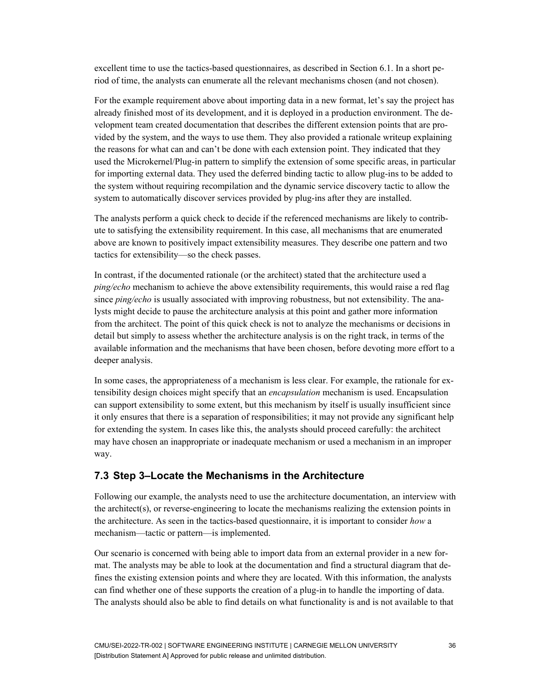excellent time to use the tactics-based questionnaires, as described in Sectio[n 6.1.](#page-34-0) In a short period of time, the analysts can enumerate all the relevant mechanisms chosen (and not chosen).

For the example requirement above about importing data in a new format, let's say the project has already finished most of its development, and it is deployed in a production environment. The development team created documentation that describes the different extension points that are provided by the system, and the ways to use them. They also provided a rationale writeup explaining the reasons for what can and can't be done with each extension point. They indicated that they used the Microkernel/Plug-in pattern to simplify the extension of some specific areas, in particular for importing external data. They used the deferred binding tactic to allow plug-ins to be added to the system without requiring recompilation and the dynamic service discovery tactic to allow the system to automatically discover services provided by plug-ins after they are installed.

The analysts perform a quick check to decide if the referenced mechanisms are likely to contribute to satisfying the extensibility requirement. In this case, all mechanisms that are enumerated above are known to positively impact extensibility measures. They describe one pattern and two tactics for extensibility—so the check passes.

In contrast, if the documented rationale (or the architect) stated that the architecture used a *ping/echo* mechanism to achieve the above extensibility requirements, this would raise a red flag since *ping/echo* is usually associated with improving robustness, but not extensibility. The analysts might decide to pause the architecture analysis at this point and gather more information from the architect. The point of this quick check is not to analyze the mechanisms or decisions in detail but simply to assess whether the architecture analysis is on the right track, in terms of the available information and the mechanisms that have been chosen, before devoting more effort to a deeper analysis.

In some cases, the appropriateness of a mechanism is less clear. For example, the rationale for extensibility design choices might specify that an *encapsulation* mechanism is used. Encapsulation can support extensibility to some extent, but this mechanism by itself is usually insufficient since it only ensures that there is a separation of responsibilities; it may not provide any significant help for extending the system. In cases like this, the analysts should proceed carefully: the architect may have chosen an inappropriate or inadequate mechanism or used a mechanism in an improper way.

#### <span id="page-41-0"></span>**7.3 Step 3–Locate the Mechanisms in the Architecture**

Following our example, the analysts need to use the architecture documentation, an interview with the architect(s), or reverse-engineering to locate the mechanisms realizing the extension points in the architecture. As seen in the tactics-based questionnaire, it is important to consider *how* a mechanism—tactic or pattern—is implemented.

Our scenario is concerned with being able to import data from an external provider in a new format. The analysts may be able to look at the documentation and find a structural diagram that defines the existing extension points and where they are located. With this information, the analysts can find whether one of these supports the creation of a plug-in to handle the importing of data. The analysts should also be able to find details on what functionality is and is not available to that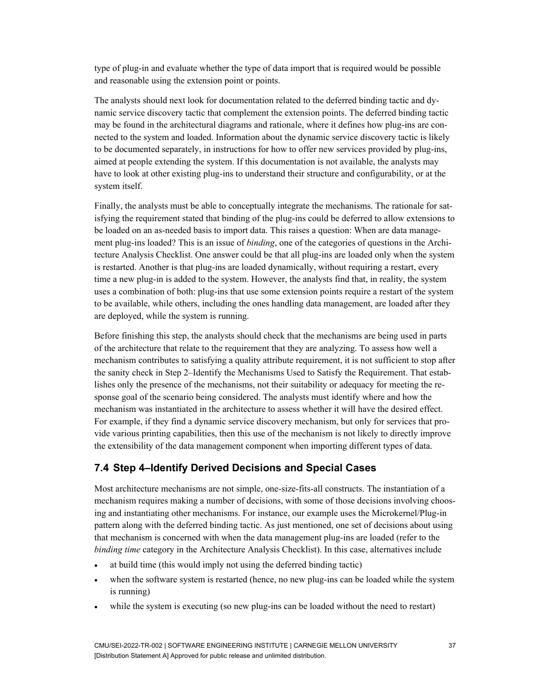type of plug-in and evaluate whether the type of data import that is required would be possible and reasonable using the extension point or points.

The analysts should next look for documentation related to the deferred binding tactic and dynamic service discovery tactic that complement the extension points. The deferred binding tactic may be found in the architectural diagrams and rationale, where it defines how plug-ins are connected to the system and loaded. Information about the dynamic service discovery tactic is likely to be documented separately, in instructions for how to offer new services provided by plug-ins, aimed at people extending the system. If this documentation is not available, the analysts may have to look at other existing plug-ins to understand their structure and configurability, or at the system itself.

Finally, the analysts must be able to conceptually integrate the mechanisms. The rationale for satisfying the requirement stated that binding of the plug-ins could be deferred to allow extensions to be loaded on an as-needed basis to import data. This raises a question: When are data management plug-ins loaded? This is an issue of *binding*, one of the categories of questions in the Architecture Analysis Checklist. One answer could be that all plug-ins are loaded only when the system is restarted. Another is that plug-ins are loaded dynamically, without requiring a restart, every time a new plug-in is added to the system. However, the analysts find that, in reality, the system uses a combination of both: plug-ins that use some extension points require a restart of the system to be available, while others, including the ones handling data management, are loaded after they are deployed, while the system is running.

Before finishing this step, the analysts should check that the mechanisms are being used in parts of the architecture that relate to the requirement that they are analyzing. To assess how well a mechanism contributes to satisfying a quality attribute requirement, it is not sufficient to stop after the sanity check in [Step 2–Identify the Mechanisms Used to Satisfy the Requirement.](#page-40-0) That establishes only the presence of the mechanisms, not their suitability or adequacy for meeting the response goal of the scenario being considered. The analysts must identify where and how the mechanism was instantiated in the architecture to assess whether it will have the desired effect. For example, if they find a dynamic service discovery mechanism, but only for services that provide various printing capabilities, then this use of the mechanism is not likely to directly improve the extensibility of the data management component when importing different types of data.

## <span id="page-42-0"></span>**7.4 Step 4–Identify Derived Decisions and Special Cases**

Most architecture mechanisms are not simple, one-size-fits-all constructs. The instantiation of a mechanism requires making a number of decisions, with some of those decisions involving choosing and instantiating other mechanisms. For instance, our example uses the Microkernel/Plug-in pattern along with the deferred binding tactic. As just mentioned, one set of decisions about using that mechanism is concerned with when the data management plug-ins are loaded (refer to the *binding time* category in the Architecture Analysis Checklist). In this case, alternatives include

- at build time (this would imply not using the deferred binding tactic)
- when the software system is restarted (hence, no new plug-ins can be loaded while the system is running)
- while the system is executing (so new plug-ins can be loaded without the need to restart)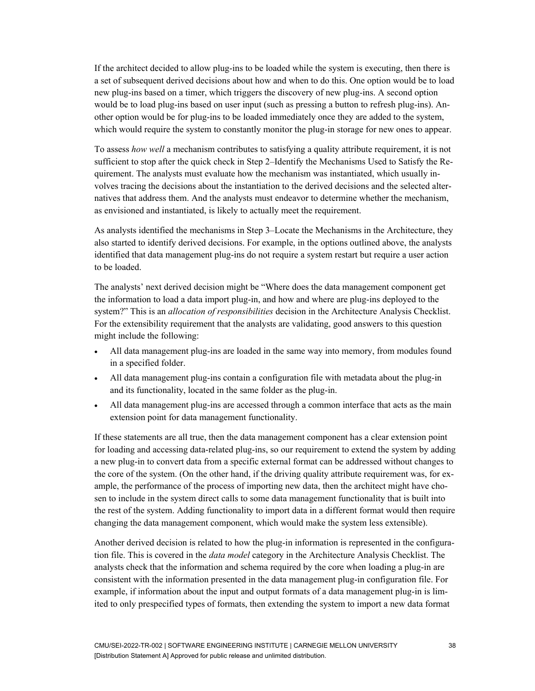If the architect decided to allow plug-ins to be loaded while the system is executing, then there is a set of subsequent derived decisions about how and when to do this. One option would be to load new plug-ins based on a timer, which triggers the discovery of new plug-ins. A second option would be to load plug-ins based on user input (such as pressing a button to refresh plug-ins). Another option would be for plug-ins to be loaded immediately once they are added to the system, which would require the system to constantly monitor the plug-in storage for new ones to appear.

To assess *how well* a mechanism contributes to satisfying a quality attribute requirement, it is not sufficient to stop after the quick check in [Step 2–Identify the Mechanisms Used to Satisfy the Re](#page-40-0)[quirement.](#page-40-0) The analysts must evaluate how the mechanism was instantiated, which usually involves tracing the decisions about the instantiation to the derived decisions and the selected alternatives that address them. And the analysts must endeavor to determine whether the mechanism, as envisioned and instantiated, is likely to actually meet the requirement.

As analysts identified the mechanisms in Step 3–Locate [the Mechanisms in the Architecture,](#page-41-0) they also started to identify derived decisions. For example, in the options outlined above, the analysts identified that data management plug-ins do not require a system restart but require a user action to be loaded.

The analysts' next derived decision might be "Where does the data management component get the information to load a data import plug-in, and how and where are plug-ins deployed to the system?" This is an *allocation of responsibilities* decision in the Architecture Analysis Checklist. For the extensibility requirement that the analysts are validating, good answers to this question might include the following:

- All data management plug-ins are loaded in the same way into memory, from modules found in a specified folder.
- All data management plug-ins contain a configuration file with metadata about the plug-in and its functionality, located in the same folder as the plug-in.
- All data management plug-ins are accessed through a common interface that acts as the main extension point for data management functionality.

If these statements are all true, then the data management component has a clear extension point for loading and accessing data-related plug-ins, so our requirement to extend the system by adding a new plug-in to convert data from a specific external format can be addressed without changes to the core of the system. (On the other hand, if the driving quality attribute requirement was, for example, the performance of the process of importing new data, then the architect might have chosen to include in the system direct calls to some data management functionality that is built into the rest of the system. Adding functionality to import data in a different format would then require changing the data management component, which would make the system less extensible).

Another derived decision is related to how the plug-in information is represented in the configuration file. This is covered in the *data model* category in the Architecture Analysis Checklist. The analysts check that the information and schema required by the core when loading a plug-in are consistent with the information presented in the data management plug-in configuration file. For example, if information about the input and output formats of a data management plug-in is limited to only prespecified types of formats, then extending the system to import a new data format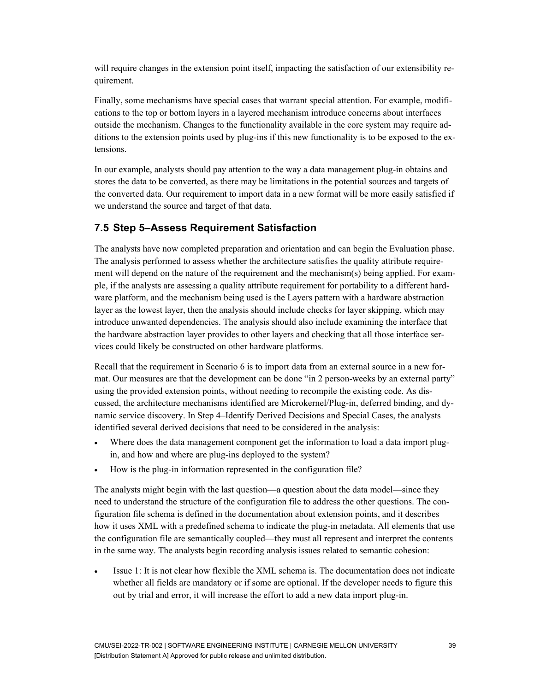will require changes in the extension point itself, impacting the satisfaction of our extensibility requirement.

Finally, some mechanisms have special cases that warrant special attention. For example, modifications to the top or bottom layers in a layered mechanism introduce concerns about interfaces outside the mechanism. Changes to the functionality available in the core system may require additions to the extension points used by plug-ins if this new functionality is to be exposed to the extensions.

In our example, analysts should pay attention to the way a data management plug-in obtains and stores the data to be converted, as there may be limitations in the potential sources and targets of the converted data. Our requirement to import data in a new format will be more easily satisfied if we understand the source and target of that data.

## <span id="page-44-0"></span>**7.5 Step 5–Assess Requirement Satisfaction**

The analysts have now completed preparation and orientation and can begin the Evaluation phase. The analysis performed to assess whether the architecture satisfies the quality attribute requirement will depend on the nature of the requirement and the mechanism(s) being applied. For example, if the analysts are assessing a quality attribute requirement for portability to a different hardware platform, and the mechanism being used is the Layers pattern with a hardware abstraction layer as the lowest layer, then the analysis should include checks for layer skipping, which may introduce unwanted dependencies. The analysis should also include examining the interface that the hardware abstraction layer provides to other layers and checking that all those interface services could likely be constructed on other hardware platforms.

Recall that the requirement in Scenario 6 is to import data from an external source in a new format. Our measures are that the development can be done "in 2 person-weeks by an external party" using the provided extension points, without needing to recompile the existing code. As discussed, the architecture mechanisms identified are Microkernel/Plug-in, deferred binding, and dynamic service discovery. In [Step 4–Identify Derived Decisions and Special Cases,](#page-42-0) the analysts identified several derived decisions that need to be considered in the analysis:

- Where does the data management component get the information to load a data import plugin, and how and where are plug-ins deployed to the system?
- How is the plug-in information represented in the configuration file?

The analysts might begin with the last question—a question about the data model—since they need to understand the structure of the configuration file to address the other questions. The configuration file schema is defined in the documentation about extension points, and it describes how it uses XML with a predefined schema to indicate the plug-in metadata. All elements that use the configuration file are semantically coupled—they must all represent and interpret the contents in the same way. The analysts begin recording analysis issues related to semantic cohesion:

• Issue 1: It is not clear how flexible the XML schema is. The documentation does not indicate whether all fields are mandatory or if some are optional. If the developer needs to figure this out by trial and error, it will increase the effort to add a new data import plug-in.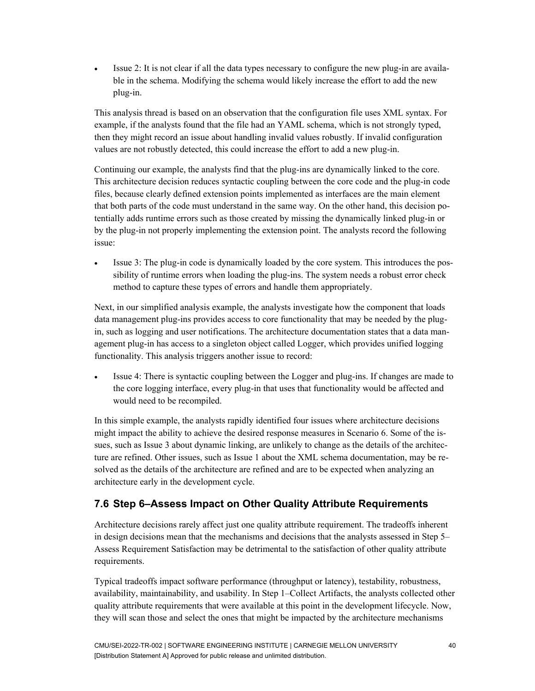• Issue 2: It is not clear if all the data types necessary to configure the new plug-in are available in the schema. Modifying the schema would likely increase the effort to add the new plug-in.

This analysis thread is based on an observation that the configuration file uses XML syntax. For example, if the analysts found that the file had an YAML schema, which is not strongly typed, then they might record an issue about handling invalid values robustly. If invalid configuration values are not robustly detected, this could increase the effort to add a new plug-in.

Continuing our example, the analysts find that the plug-ins are dynamically linked to the core. This architecture decision reduces syntactic coupling between the core code and the plug-in code files, because clearly defined extension points implemented as interfaces are the main element that both parts of the code must understand in the same way. On the other hand, this decision potentially adds runtime errors such as those created by missing the dynamically linked plug-in or by the plug-in not properly implementing the extension point. The analysts record the following issue:

• Issue 3: The plug-in code is dynamically loaded by the core system. This introduces the possibility of runtime errors when loading the plug-ins. The system needs a robust error check method to capture these types of errors and handle them appropriately.

Next, in our simplified analysis example, the analysts investigate how the component that loads data management plug-ins provides access to core functionality that may be needed by the plugin, such as logging and user notifications. The architecture documentation states that a data management plug-in has access to a singleton object called Logger, which provides unified logging functionality. This analysis triggers another issue to record:

• Issue 4: There is syntactic coupling between the Logger and plug-ins. If changes are made to the core logging interface, every plug-in that uses that functionality would be affected and would need to be recompiled.

In this simple example, the analysts rapidly identified four issues where architecture decisions might impact the ability to achieve the desired response measures in Scenario 6. Some of the issues, such as Issue 3 about dynamic linking, are unlikely to change as the details of the architecture are refined. Other issues, such as Issue 1 about the XML schema documentation, may be resolved as the details of the architecture are refined and are to be expected when analyzing an architecture early in the development cycle.

## <span id="page-45-0"></span>**7.6 Step 6–Assess Impact on Other Quality Attribute Requirements**

Architecture decisions rarely affect just one quality attribute requirement. The tradeoffs inherent in design decisions mean that the mechanisms and decisions that the analysts assessed in [Step 5–](#page-44-0) [Assess Requirement Satisfaction](#page-44-0) may be detrimental to the satisfaction of other quality attribute requirements.

Typical tradeoffs impact software performance (throughput or latency), testability, robustness, availability, maintainability, and usability. In [Step 1–Collect Artifacts,](#page-39-1) the analysts collected other quality attribute requirements that were available at this point in the development lifecycle. Now, they will scan those and select the ones that might be impacted by the architecture mechanisms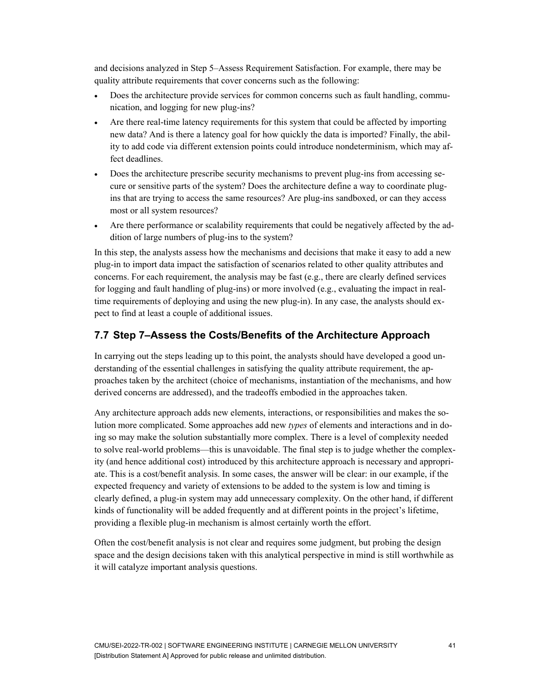and decisions analyzed in [Step 5–Assess Requirement Satisfaction.](#page-44-0) For example, there may be quality attribute requirements that cover concerns such as the following:

- Does the architecture provide services for common concerns such as fault handling, communication, and logging for new plug-ins?
- Are there real-time latency requirements for this system that could be affected by importing new data? And is there a latency goal for how quickly the data is imported? Finally, the ability to add code via different extension points could introduce nondeterminism, which may affect deadlines.
- Does the architecture prescribe security mechanisms to prevent plug-ins from accessing secure or sensitive parts of the system? Does the architecture define a way to coordinate plugins that are trying to access the same resources? Are plug-ins sandboxed, or can they access most or all system resources?
- Are there performance or scalability requirements that could be negatively affected by the addition of large numbers of plug-ins to the system?

In this step, the analysts assess how the mechanisms and decisions that make it easy to add a new plug-in to import data impact the satisfaction of scenarios related to other quality attributes and concerns. For each requirement, the analysis may be fast (e.g., there are clearly defined services for logging and fault handling of plug-ins) or more involved (e.g., evaluating the impact in realtime requirements of deploying and using the new plug-in). In any case, the analysts should expect to find at least a couple of additional issues.

## <span id="page-46-0"></span>**7.7 Step 7–Assess the Costs/Benefits of the Architecture Approach**

In carrying out the steps leading up to this point, the analysts should have developed a good understanding of the essential challenges in satisfying the quality attribute requirement, the approaches taken by the architect (choice of mechanisms, instantiation of the mechanisms, and how derived concerns are addressed), and the tradeoffs embodied in the approaches taken.

Any architecture approach adds new elements, interactions, or responsibilities and makes the solution more complicated. Some approaches add new *types* of elements and interactions and in doing so may make the solution substantially more complex. There is a level of complexity needed to solve real-world problems—this is unavoidable. The final step is to judge whether the complexity (and hence additional cost) introduced by this architecture approach is necessary and appropriate. This is a cost/benefit analysis. In some cases, the answer will be clear: in our example, if the expected frequency and variety of extensions to be added to the system is low and timing is clearly defined, a plug-in system may add unnecessary complexity. On the other hand, if different kinds of functionality will be added frequently and at different points in the project's lifetime, providing a flexible plug-in mechanism is almost certainly worth the effort.

Often the cost/benefit analysis is not clear and requires some judgment, but probing the design space and the design decisions taken with this analytical perspective in mind is still worthwhile as it will catalyze important analysis questions.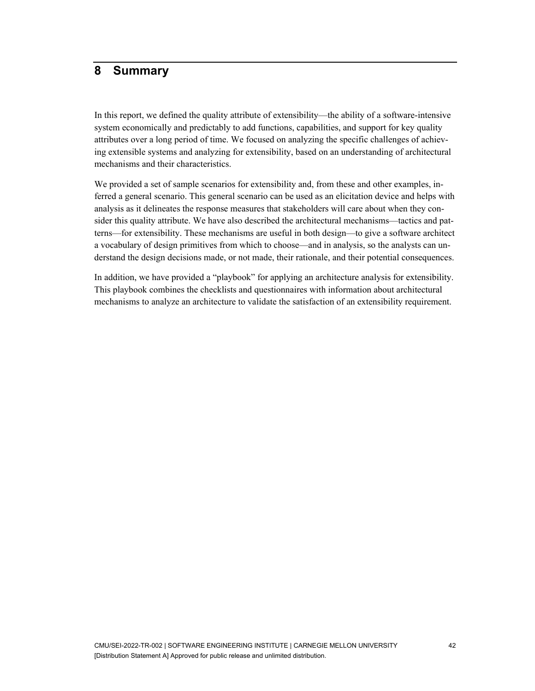# <span id="page-47-0"></span>**8 Summary**

In this report, we defined the quality attribute of extensibility—the ability of a software-intensive system economically and predictably to add functions, capabilities, and support for key quality attributes over a long period of time. We focused on analyzing the specific challenges of achieving extensible systems and analyzing for extensibility, based on an understanding of architectural mechanisms and their characteristics.

We provided a set of sample scenarios for extensibility and, from these and other examples, inferred a general scenario. This general scenario can be used as an elicitation device and helps with analysis as it delineates the response measures that stakeholders will care about when they consider this quality attribute. We have also described the architectural mechanisms—tactics and patterns—for extensibility. These mechanisms are useful in both design—to give a software architect a vocabulary of design primitives from which to choose—and in analysis, so the analysts can understand the design decisions made, or not made, their rationale, and their potential consequences.

In addition, we have provided a "playbook" for applying an architecture analysis for extensibility. This playbook combines the checklists and questionnaires with information about architectural mechanisms to analyze an architecture to validate the satisfaction of an extensibility requirement.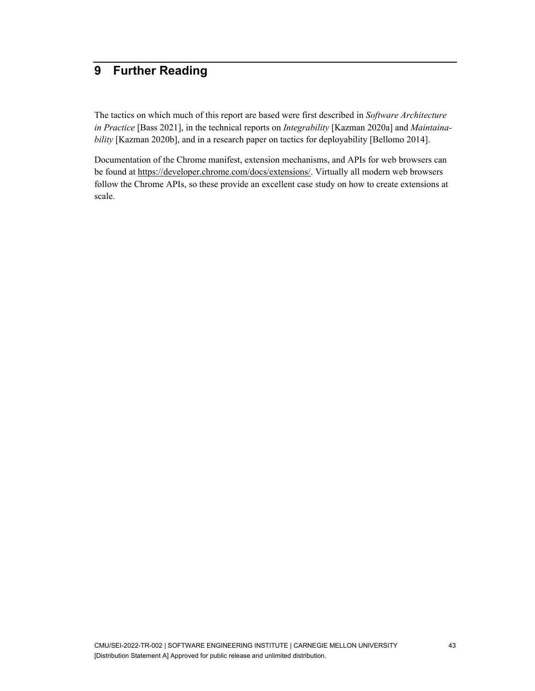# <span id="page-48-0"></span>**9 Further Reading**

The tactics on which much of this report are based were first described in *Software Architecture in Practice* [Bass 2021], in the technical reports on *Integrability* [Kazman 2020a] and *Maintainability* [Kazman 2020b], and in a research paper on tactics for deployability [Bellomo 2014].

Documentation of the Chrome manifest, extension mechanisms, and APIs for web browsers can be found at [https://developer.chrome.com/docs/extensions/.](https://developer.chrome.com/docs/extensions/) Virtually all modern web browsers follow the Chrome APIs, so these provide an excellent case study on how to create extensions at scale.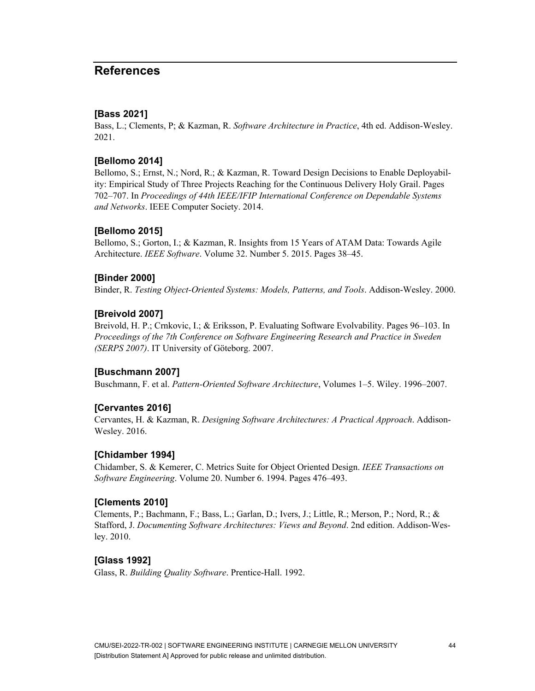# <span id="page-49-0"></span>**References**

#### **[Bass 2021]**

Bass, L.; Clements, P; & Kazman, R. *Software Architecture in Practice*, 4th ed. Addison-Wesley. 2021.

#### **[Bellomo 2014]**

Bellomo, S.; Ernst, N.; Nord, R.; & Kazman, R. Toward Design Decisions to Enable Deployability: Empirical Study of Three Projects Reaching for the Continuous Delivery Holy Grail. Pages 702–707. In *Proceedings of 44th IEEE/IFIP International Conference on Dependable Systems and Networks*. IEEE Computer Society. 2014.

#### **[Bellomo 2015]**

Bellomo, S.; Gorton, I.; & Kazman, R. Insights from 15 Years of ATAM Data: Towards Agile Architecture. *IEEE Software*. Volume 32. Number 5. 2015. Pages 38–45.

#### **[Binder 2000]**

Binder, R. *Testing Object-Oriented Systems: Models, Patterns, and Tools*. Addison-Wesley. 2000.

#### **[Breivold 2007]**

Breivold, H. P.; Crnkovic, I.; & Eriksson, P. Evaluating Software Evolvability. Pages 96–103. In *Proceedings of the 7th Conference on Software Engineering Research and Practice in Sweden (SERPS 2007)*. IT University of Göteborg. 2007.

#### **[Buschmann 2007]**

Buschmann, F. et al. *Pattern-Oriented Software Architecture*, Volumes 1–5. Wiley. 1996–2007.

#### **[Cervantes 2016]**

Cervantes, H. & Kazman, R. *Designing Software Architectures: A Practical Approach*. Addison-Wesley. 2016.

#### **[Chidamber 1994]**

Chidamber, S. & Kemerer, C. Metrics Suite for Object Oriented Design. *IEEE Transactions on Software Engineering*. Volume 20. Number 6. 1994. Pages 476–493.

#### **[Clements 2010]**

Clements, P.; Bachmann, F.; Bass, L.; Garlan, D.; Ivers, J.; Little, R.; Merson, P.; Nord, R.; & Stafford, J. *Documenting Software Architectures: Views and Beyond*. 2nd edition. Addison-Wesley. 2010.

#### **[Glass 1992]**

Glass, R. *Building Quality Software*. Prentice-Hall. 1992.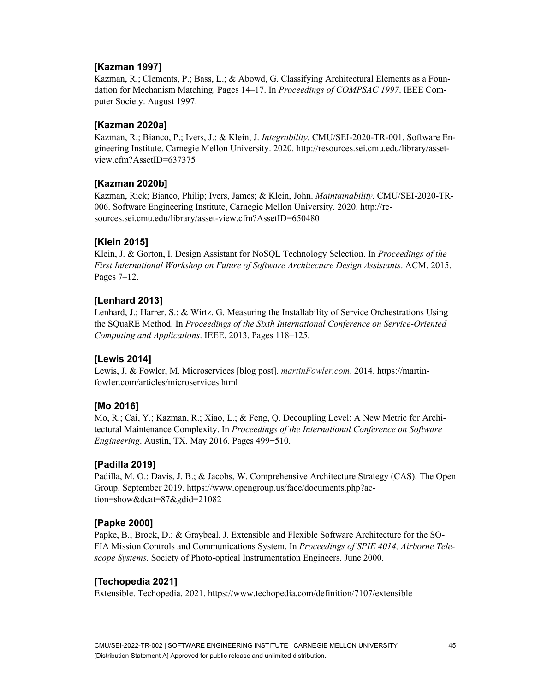#### **[Kazman 1997]**

Kazman, R.; Clements, P.; Bass, L.; & Abowd, G. Classifying Architectural Elements as a Foundation for Mechanism Matching. Pages 14–17. In *Proceedings of COMPSAC 1997*. IEEE Computer Society. August 1997.

#### **[Kazman 2020a]**

Kazman, R.; Bianco, P.; Ivers, J.; & Klein, J. *Integrability.* CMU/SEI-2020-TR-001. Software Engineering Institute, Carnegie Mellon University. 2020. http://resources.sei.cmu.edu/library/assetview.cfm?AssetID=637375

#### **[Kazman 2020b]**

Kazman, Rick; Bianco, Philip; Ivers, James; & Klein, John. *Maintainability*. CMU/SEI-2020-TR-006. Software Engineering Institute, Carnegie Mellon University. 2020. http://resources.sei.cmu.edu/library/asset-view.cfm?AssetID=650480

#### **[Klein 2015]**

Klein, J. & Gorton, I. Design Assistant for NoSQL Technology Selection. In *Proceedings of the First International Workshop on Future of Software Architecture Design Assistants*. ACM. 2015. Pages 7–12.

#### **[Lenhard 2013]**

Lenhard, J.; Harrer, S.; & Wirtz, G. Measuring the Installability of Service Orchestrations Using the SQuaRE Method. In *Proceedings of the Sixth International Conference on Service-Oriented Computing and Applications*. IEEE. 2013. Pages 118–125.

#### **[Lewis 2014]**

Lewis, J. & Fowler, M. Microservices [blog post]. *martinFowler.com*. 2014. https://martinfowler.com/articles/microservices.html

#### **[Mo 2016]**

Mo, R.; Cai, Y.; Kazman, R.; Xiao, L.; & Feng, Q. Decoupling Level: A New Metric for Architectural Maintenance Complexity. In *Proceedings of the International Conference on Software Engineering*. Austin, TX. May 2016. Pages 499−510.

#### **[Padilla 2019]**

Padilla, M. O.; Davis, J. B.; & Jacobs, W. Comprehensive Architecture Strategy (CAS). The Open Group. September 2019. https://www.opengroup.us/face/documents.php?action=show&dcat=87&gdid=21082

#### **[Papke 2000]**

Papke, B.; Brock, D.; & Graybeal, J. Extensible and Flexible Software Architecture for the SO-FIA Mission Controls and Communications System. In *Proceedings of SPIE 4014, Airborne Telescope Systems*. Society of Photo-optical Instrumentation Engineers. June 2000.

#### **[Techopedia 2021]**

Extensible. Techopedia. 2021. https://www.techopedia.com/definition/7107/extensible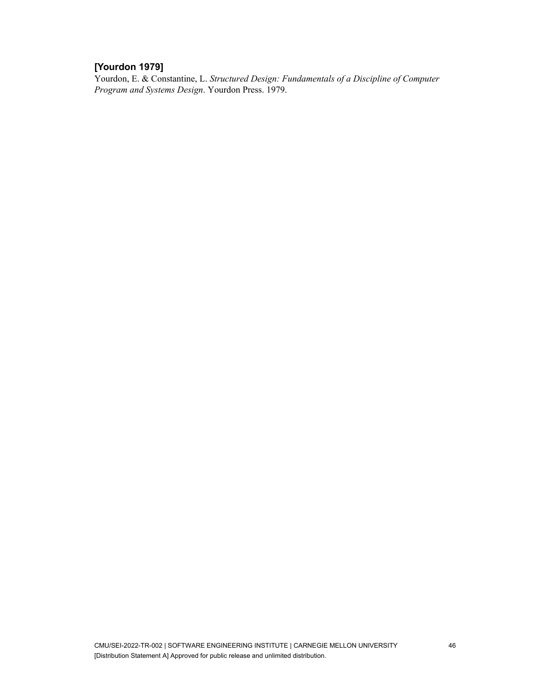## **[Yourdon 1979]**

Yourdon, E. & Constantine, L. *Structured Design: Fundamentals of a Discipline of Computer Program and Systems Design*. Yourdon Press. 1979.